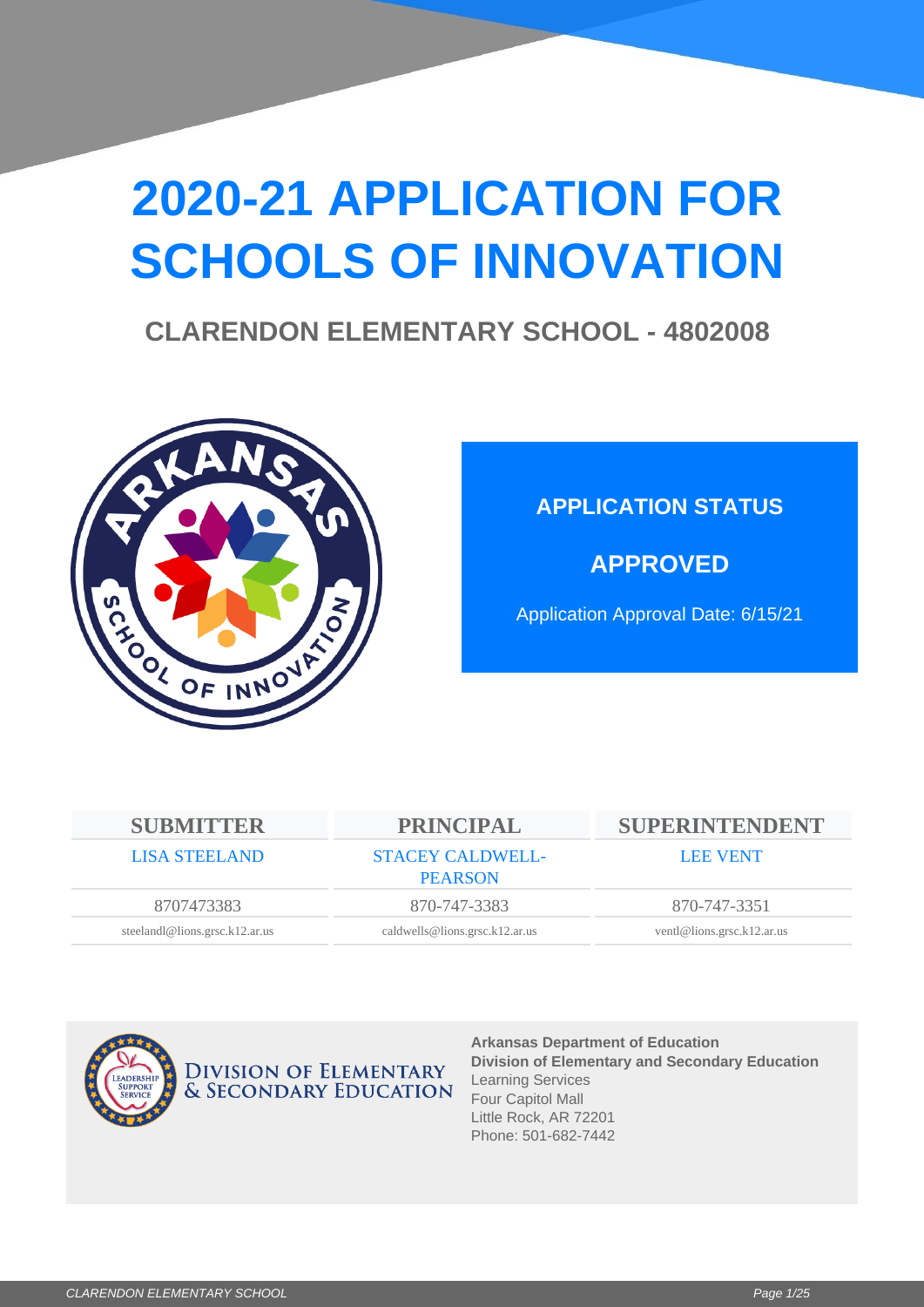# **2020-21 APPLICATION FOR SCHOOLS OF INNOVATION**

## **CLARENDON ELEMENTARY SCHOOL - 4802008**



## **APPLICATION STATUS**

**APPROVED**

Application Approval Date: 6/15/21

| <b>SUBMITTER</b>               | <b>PRINCIPAL</b>                          | SUPERINTENDENT             |
|--------------------------------|-------------------------------------------|----------------------------|
| <b>LISA STEELAND</b>           | <b>STACEY CALDWELL-</b><br><b>PEARSON</b> | <b>LEE VENT</b>            |
| 8707473383                     | 870-747-3383                              | 870-747-3351               |
| steelandl@lions.grsc.k12.ar.us | caldwells@lions.grsc.k12.ar.us            | ventl@lions.grsc.k12.ar.us |



**Arkansas Department of Education Division of Elementary and Secondary Education** Learning Services Four Capitol Mall Little Rock, AR 72201 Phone: 501-682-7442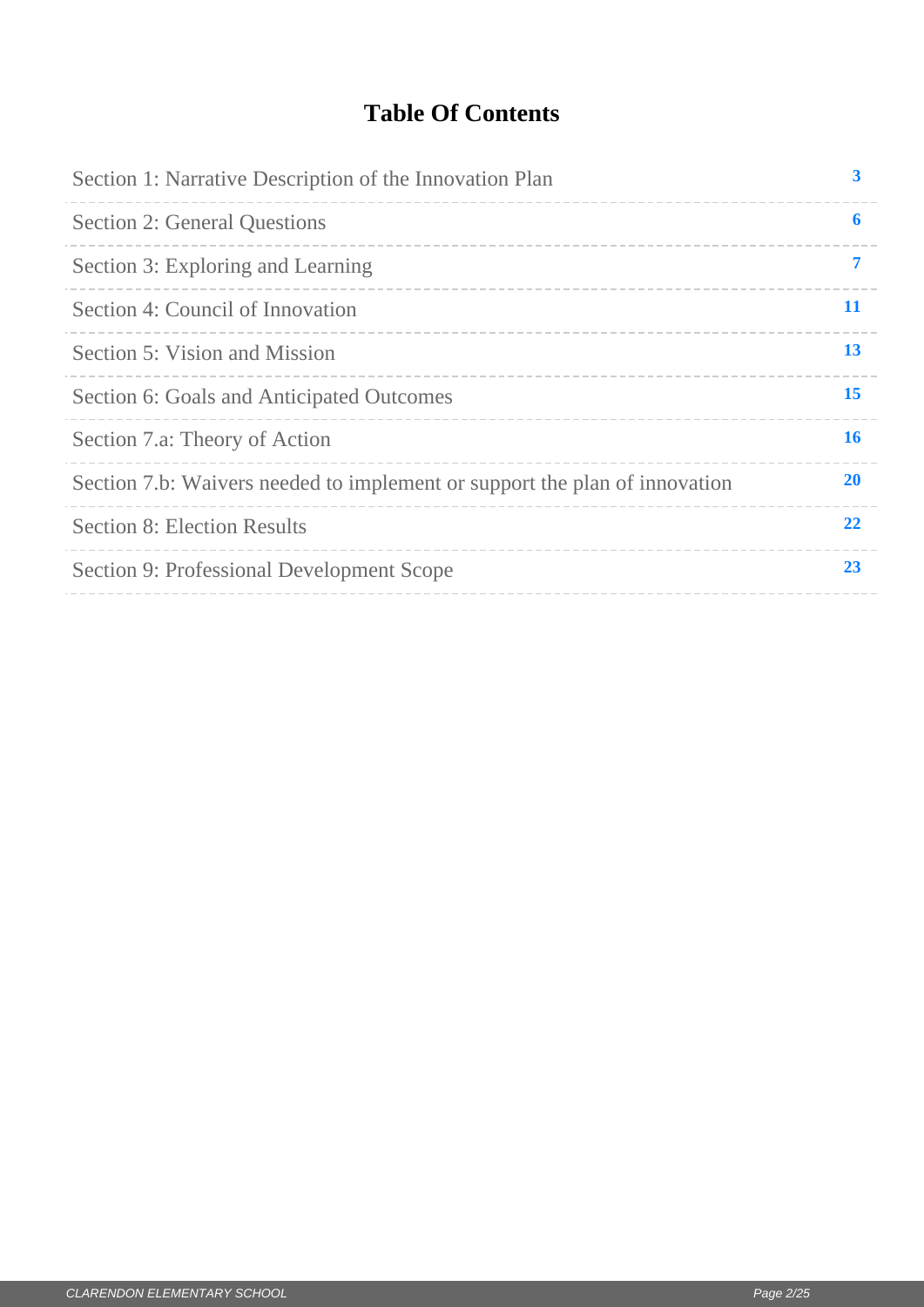## **Table Of Contents**

| Section 1: Narrative Description of the Innovation Plan                    | 3         |
|----------------------------------------------------------------------------|-----------|
| <b>Section 2: General Questions</b>                                        | 6         |
| Section 3: Exploring and Learning                                          | 7         |
| Section 4: Council of Innovation                                           | 11        |
| Section 5: Vision and Mission                                              | 13        |
| Section 6: Goals and Anticipated Outcomes                                  | 15        |
| Section 7.a: Theory of Action                                              | 16        |
| Section 7.b: Waivers needed to implement or support the plan of innovation | <b>20</b> |
| <b>Section 8: Election Results</b>                                         | 22        |
| Section 9: Professional Development Scope                                  | 23        |
|                                                                            |           |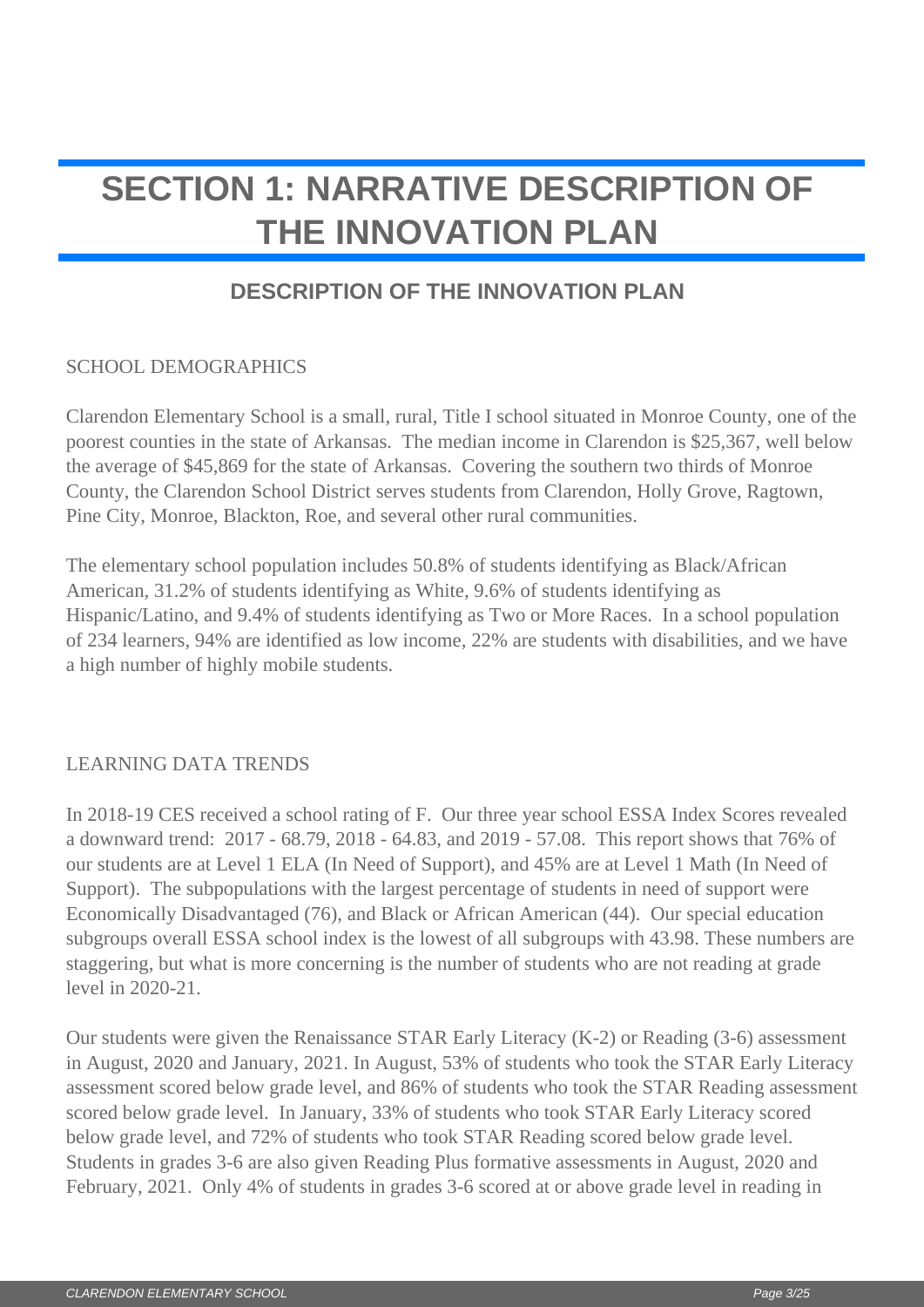# <span id="page-2-0"></span>**SECTION 1: NARRATIVE DESCRIPTION OF THE INNOVATION PLAN**

## **DESCRIPTION OF THE INNOVATION PLAN**

### SCHOOL DEMOGRAPHICS

Clarendon Elementary School is a small, rural, Title I school situated in Monroe County, one of the poorest counties in the state of Arkansas. The median income in Clarendon is \$25,367, well below the average of \$45,869 for the state of Arkansas. Covering the southern two thirds of Monroe County, the Clarendon School District serves students from Clarendon, Holly Grove, Ragtown, Pine City, Monroe, Blackton, Roe, and several other rural communities.

The elementary school population includes 50.8% of students identifying as Black/African American, 31.2% of students identifying as White, 9.6% of students identifying as Hispanic/Latino, and 9.4% of students identifying as Two or More Races. In a school population of 234 learners, 94% are identified as low income, 22% are students with disabilities, and we have a high number of highly mobile students.

### LEARNING DATA TRENDS

In 2018-19 CES received a school rating of F. Our three year school ESSA Index Scores revealed a downward trend: 2017 - 68.79, 2018 - 64.83, and 2019 - 57.08. This report shows that 76% of our students are at Level 1 ELA (In Need of Support), and 45% are at Level 1 Math (In Need of Support). The subpopulations with the largest percentage of students in need of support were Economically Disadvantaged (76), and Black or African American (44). Our special education subgroups overall ESSA school index is the lowest of all subgroups with 43.98. These numbers are staggering, but what is more concerning is the number of students who are not reading at grade level in 2020-21.

Our students were given the Renaissance STAR Early Literacy (K-2) or Reading (3-6) assessment in August, 2020 and January, 2021. In August, 53% of students who took the STAR Early Literacy assessment scored below grade level, and 86% of students who took the STAR Reading assessment scored below grade level. In January, 33% of students who took STAR Early Literacy scored below grade level, and 72% of students who took STAR Reading scored below grade level. Students in grades 3-6 are also given Reading Plus formative assessments in August, 2020 and February, 2021. Only 4% of students in grades 3-6 scored at or above grade level in reading in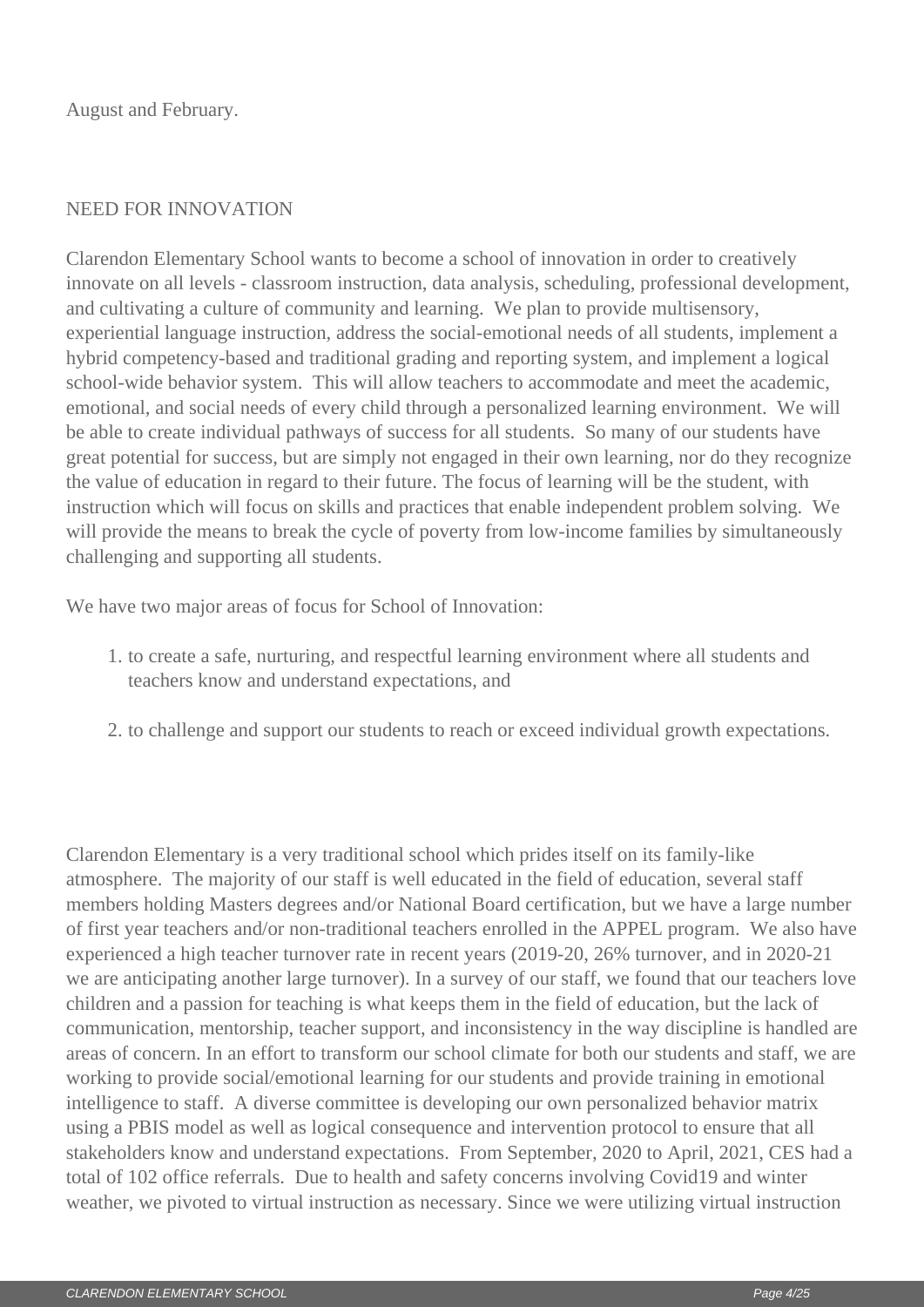August and February.

### NEED FOR INNOVATION

Clarendon Elementary School wants to become a school of innovation in order to creatively innovate on all levels - classroom instruction, data analysis, scheduling, professional development, and cultivating a culture of community and learning. We plan to provide multisensory, experiential language instruction, address the social-emotional needs of all students, implement a hybrid competency-based and traditional grading and reporting system, and implement a logical school-wide behavior system. This will allow teachers to accommodate and meet the academic, emotional, and social needs of every child through a personalized learning environment. We will be able to create individual pathways of success for all students. So many of our students have great potential for success, but are simply not engaged in their own learning, nor do they recognize the value of education in regard to their future. The focus of learning will be the student, with instruction which will focus on skills and practices that enable independent problem solving. We will provide the means to break the cycle of poverty from low-income families by simultaneously challenging and supporting all students.

We have two major areas of focus for School of Innovation:

- 1. to create a safe, nurturing, and respectful learning environment where all students and teachers know and understand expectations, and
- 2. to challenge and support our students to reach or exceed individual growth expectations.

Clarendon Elementary is a very traditional school which prides itself on its family-like atmosphere. The majority of our staff is well educated in the field of education, several staff members holding Masters degrees and/or National Board certification, but we have a large number of first year teachers and/or non-traditional teachers enrolled in the APPEL program. We also have experienced a high teacher turnover rate in recent years (2019-20, 26% turnover, and in 2020-21 we are anticipating another large turnover). In a survey of our staff, we found that our teachers love children and a passion for teaching is what keeps them in the field of education, but the lack of communication, mentorship, teacher support, and inconsistency in the way discipline is handled are areas of concern. In an effort to transform our school climate for both our students and staff, we are working to provide social/emotional learning for our students and provide training in emotional intelligence to staff. A diverse committee is developing our own personalized behavior matrix using a PBIS model as well as logical consequence and intervention protocol to ensure that all stakeholders know and understand expectations. From September, 2020 to April, 2021, CES had a total of 102 office referrals. Due to health and safety concerns involving Covid19 and winter weather, we pivoted to virtual instruction as necessary. Since we were utilizing virtual instruction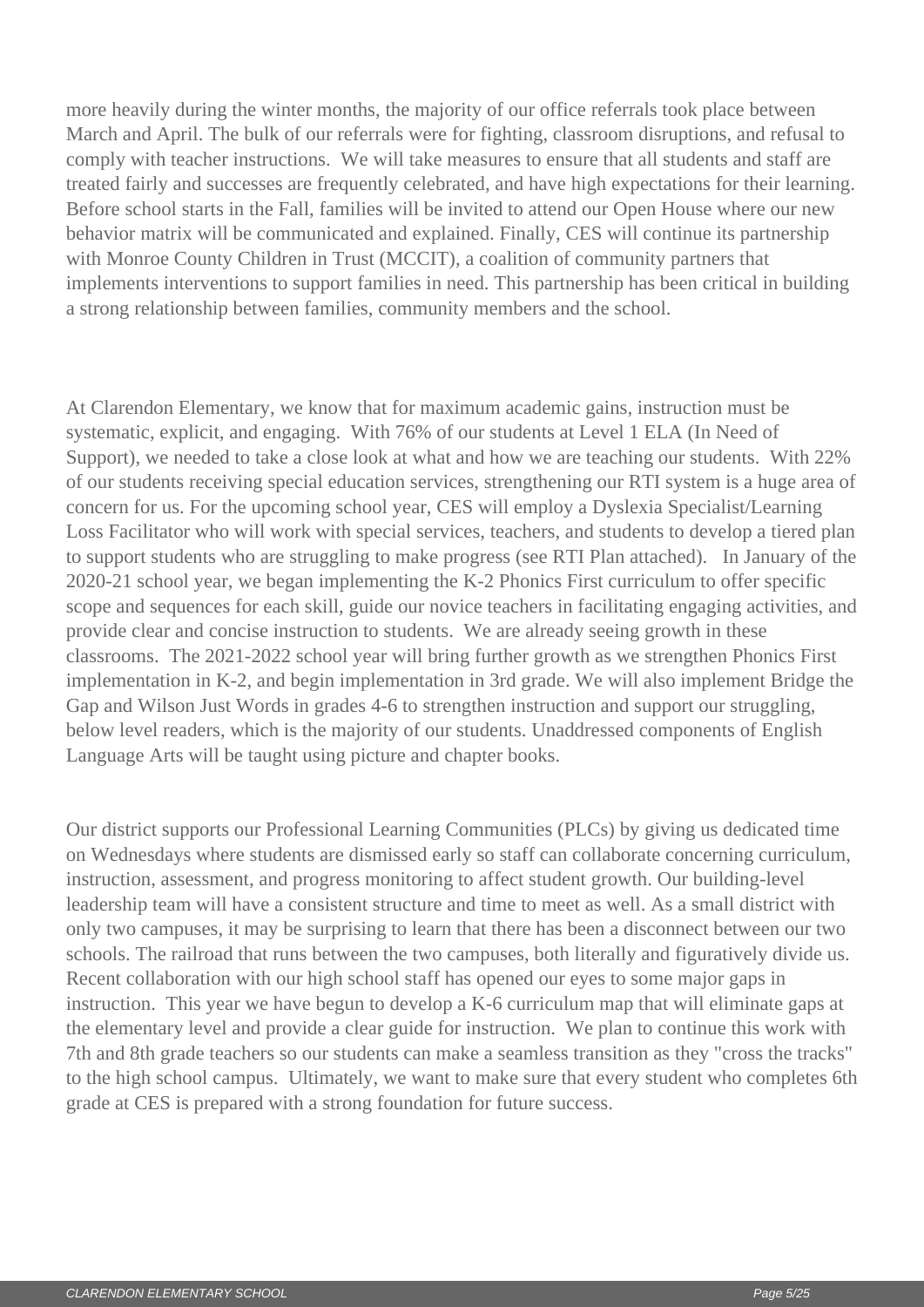more heavily during the winter months, the majority of our office referrals took place between March and April. The bulk of our referrals were for fighting, classroom disruptions, and refusal to comply with teacher instructions. We will take measures to ensure that all students and staff are treated fairly and successes are frequently celebrated, and have high expectations for their learning. Before school starts in the Fall, families will be invited to attend our Open House where our new behavior matrix will be communicated and explained. Finally, CES will continue its partnership with Monroe County Children in Trust (MCCIT), a coalition of community partners that implements interventions to support families in need. This partnership has been critical in building a strong relationship between families, community members and the school.

At Clarendon Elementary, we know that for maximum academic gains, instruction must be systematic, explicit, and engaging. With 76% of our students at Level 1 ELA (In Need of Support), we needed to take a close look at what and how we are teaching our students. With 22% of our students receiving special education services, strengthening our RTI system is a huge area of concern for us. For the upcoming school year, CES will employ a Dyslexia Specialist/Learning Loss Facilitator who will work with special services, teachers, and students to develop a tiered plan to support students who are struggling to make progress (see RTI Plan attached). In January of the 2020-21 school year, we began implementing the K-2 Phonics First curriculum to offer specific scope and sequences for each skill, guide our novice teachers in facilitating engaging activities, and provide clear and concise instruction to students. We are already seeing growth in these classrooms. The 2021-2022 school year will bring further growth as we strengthen Phonics First implementation in K-2, and begin implementation in 3rd grade. We will also implement Bridge the Gap and Wilson Just Words in grades 4-6 to strengthen instruction and support our struggling, below level readers, which is the majority of our students. Unaddressed components of English Language Arts will be taught using picture and chapter books.

Our district supports our Professional Learning Communities (PLCs) by giving us dedicated time on Wednesdays where students are dismissed early so staff can collaborate concerning curriculum, instruction, assessment, and progress monitoring to affect student growth. Our building-level leadership team will have a consistent structure and time to meet as well. As a small district with only two campuses, it may be surprising to learn that there has been a disconnect between our two schools. The railroad that runs between the two campuses, both literally and figuratively divide us. Recent collaboration with our high school staff has opened our eyes to some major gaps in instruction. This year we have begun to develop a K-6 curriculum map that will eliminate gaps at the elementary level and provide a clear guide for instruction. We plan to continue this work with 7th and 8th grade teachers so our students can make a seamless transition as they "cross the tracks" to the high school campus. Ultimately, we want to make sure that every student who completes 6th grade at CES is prepared with a strong foundation for future success.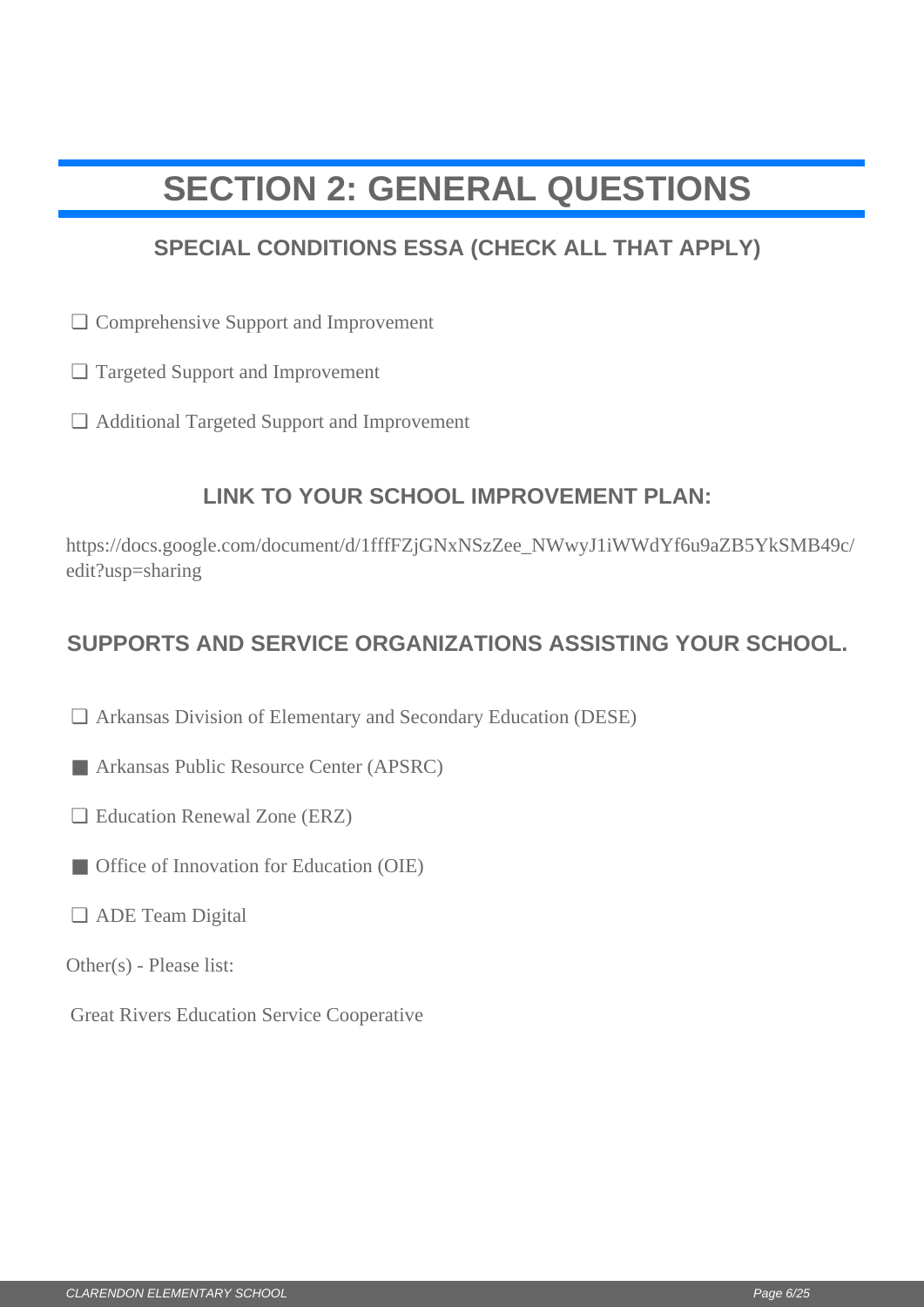# <span id="page-5-0"></span>**SECTION 2: GENERAL QUESTIONS**

## **SPECIAL CONDITIONS ESSA (CHECK ALL THAT APPLY)**

- □ Comprehensive Support and Improvement
- Targeted Support and Improvement ❏
- Additional Targeted Support and Improvement ❏

## **LINK TO YOUR SCHOOL IMPROVEMENT PLAN:**

https://docs.google.com/document/d/1fffFZjGNxNSzZee\_NWwyJ1iWWdYf6u9aZB5YkSMB49c/ edit?usp=sharing  $□$  Comprehensive Support and Improvement<br>  $□$  Additional Targeted Support and Improvement<br>  $□$  Additional Targeted Support and Improvement<br>  $□$  LINK TO YOUR SCHOOL IMPROVEMENT PLAN:<br>
https://docs.google.com/document/d/

## **SUPPORTS AND SERVICE ORGANIZATIONS ASSISTING YOUR SCHOOL.**

- Arkansas Division of Elementary and Secondary Education (DESE) ❏
- Arkansas Public Resource Center (APSRC)
- □ Education Renewal Zone (ERZ)
- Office of Innovation for Education (OIE)
- □ ADE Team Digital
- Other(s) Please list:
- Great Rivers Education Service Cooperative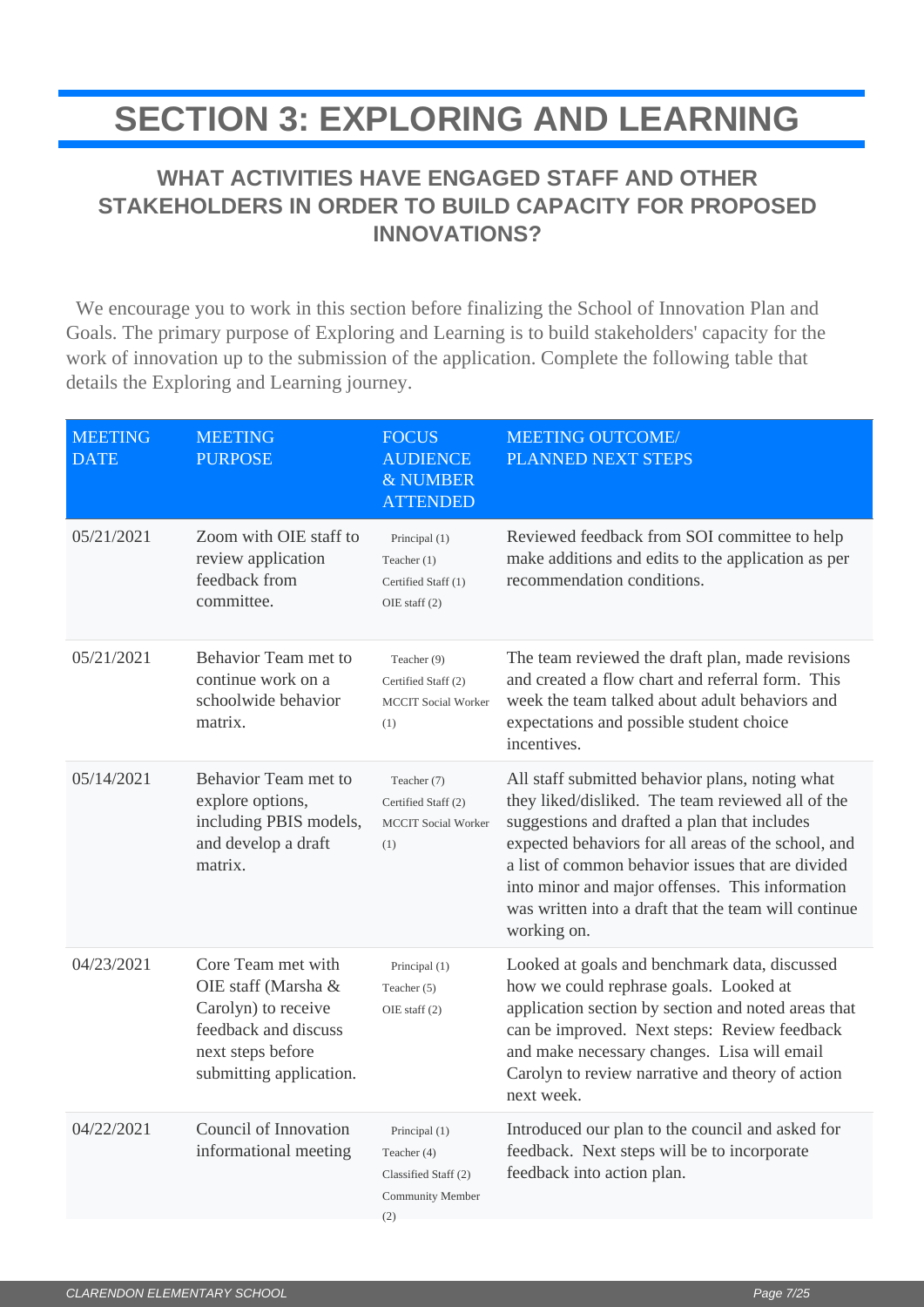# <span id="page-6-0"></span>**SECTION 3: EXPLORING AND LEARNING**

## **WHAT ACTIVITIES HAVE ENGAGED STAFF AND OTHER STAKEHOLDERS IN ORDER TO BUILD CAPACITY FOR PROPOSED INNOVATIONS?**

 We encourage you to work in this section before finalizing the School of Innovation Plan and Goals. The primary purpose of Exploring and Learning is to build stakeholders' capacity for the work of innovation up to the submission of the application. Complete the following table that details the Exploring and Learning journey.

| <b>MEETING</b><br><b>DATE</b> | <b>MEETING</b><br><b>PURPOSE</b>                                                                                                         | <b>FOCUS</b><br><b>AUDIENCE</b><br>& NUMBER<br><b>ATTENDED</b>                  | <b>MEETING OUTCOME/</b><br>PLANNED NEXT STEPS                                                                                                                                                                                                                                                                                                                                              |
|-------------------------------|------------------------------------------------------------------------------------------------------------------------------------------|---------------------------------------------------------------------------------|--------------------------------------------------------------------------------------------------------------------------------------------------------------------------------------------------------------------------------------------------------------------------------------------------------------------------------------------------------------------------------------------|
| 05/21/2021                    | Zoom with OIE staff to<br>review application<br>feedback from<br>committee.                                                              | Principal (1)<br>Teacher (1)<br>Certified Staff (1)<br>OIE staff $(2)$          | Reviewed feedback from SOI committee to help<br>make additions and edits to the application as per<br>recommendation conditions.                                                                                                                                                                                                                                                           |
| 05/21/2021                    | Behavior Team met to<br>continue work on a<br>schoolwide behavior<br>matrix.                                                             | Teacher (9)<br>Certified Staff (2)<br><b>MCCIT</b> Social Worker<br>(1)         | The team reviewed the draft plan, made revisions<br>and created a flow chart and referral form. This<br>week the team talked about adult behaviors and<br>expectations and possible student choice<br>incentives.                                                                                                                                                                          |
| 05/14/2021                    | Behavior Team met to<br>explore options,<br>including PBIS models,<br>and develop a draft<br>matrix.                                     | Teacher (7)<br>Certified Staff (2)<br><b>MCCIT</b> Social Worker<br>(1)         | All staff submitted behavior plans, noting what<br>they liked/disliked. The team reviewed all of the<br>suggestions and drafted a plan that includes<br>expected behaviors for all areas of the school, and<br>a list of common behavior issues that are divided<br>into minor and major offenses. This information<br>was written into a draft that the team will continue<br>working on. |
| 04/23/2021                    | Core Team met with<br>OIE staff (Marsha &<br>Carolyn) to receive<br>feedback and discuss<br>next steps before<br>submitting application. | Principal (1)<br>Teacher (5)<br>OIE staff $(2)$                                 | Looked at goals and benchmark data, discussed<br>how we could rephrase goals. Looked at<br>application section by section and noted areas that<br>can be improved. Next steps: Review feedback<br>and make necessary changes. Lisa will email<br>Carolyn to review narrative and theory of action<br>next week.                                                                            |
| 04/22/2021                    | Council of Innovation<br>informational meeting                                                                                           | Principal (1)<br>Teacher (4)<br>Classified Staff (2)<br>Community Member<br>(2) | Introduced our plan to the council and asked for<br>feedback. Next steps will be to incorporate<br>feedback into action plan.                                                                                                                                                                                                                                                              |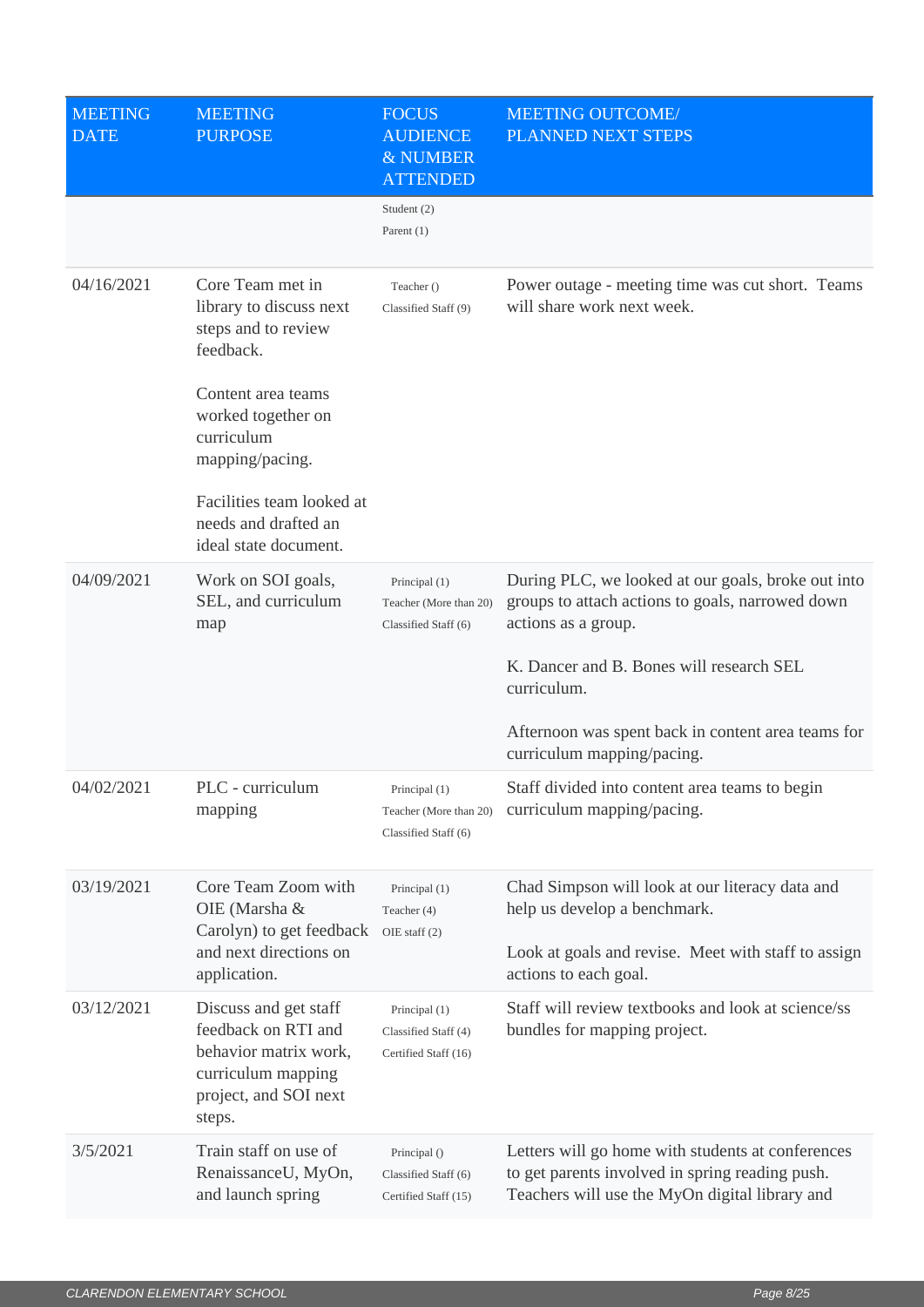| <b>MEETING</b><br><b>DATE</b> | <b>MEETING</b><br><b>PURPOSE</b>                                                                                               | <b>FOCUS</b><br><b>AUDIENCE</b><br>& NUMBER<br><b>ATTENDED</b>  | <b>MEETING OUTCOME/</b><br>PLANNED NEXT STEPS                                                                                                          |
|-------------------------------|--------------------------------------------------------------------------------------------------------------------------------|-----------------------------------------------------------------|--------------------------------------------------------------------------------------------------------------------------------------------------------|
|                               |                                                                                                                                | Student (2)<br>Parent $(1)$                                     |                                                                                                                                                        |
| 04/16/2021                    | Core Team met in<br>library to discuss next<br>steps and to review<br>feedback.                                                | Teacher ()<br>Classified Staff (9)                              | Power outage - meeting time was cut short. Teams<br>will share work next week.                                                                         |
|                               | Content area teams<br>worked together on<br>curriculum<br>mapping/pacing.                                                      |                                                                 |                                                                                                                                                        |
|                               | Facilities team looked at<br>needs and drafted an<br>ideal state document.                                                     |                                                                 |                                                                                                                                                        |
| 04/09/2021                    | Work on SOI goals,<br>SEL, and curriculum<br>map                                                                               | Principal (1)<br>Teacher (More than 20)<br>Classified Staff (6) | During PLC, we looked at our goals, broke out into<br>groups to attach actions to goals, narrowed down<br>actions as a group.                          |
|                               |                                                                                                                                |                                                                 | K. Dancer and B. Bones will research SEL<br>curriculum.                                                                                                |
|                               |                                                                                                                                |                                                                 | Afternoon was spent back in content area teams for<br>curriculum mapping/pacing.                                                                       |
| 04/02/2021                    | PLC - curriculum<br>mapping                                                                                                    | Principal (1)<br>Classified Staff (6)                           | Staff divided into content area teams to begin<br>Teacher (More than 20) curriculum mapping/pacing.                                                    |
| 03/19/2021                    | Core Team Zoom with<br>OIE (Marsha &<br>Carolyn) to get feedback                                                               | Principal (1)<br>Teacher (4)<br>OIE staff $(2)$                 | Chad Simpson will look at our literacy data and<br>help us develop a benchmark.                                                                        |
|                               | and next directions on<br>application.                                                                                         |                                                                 | Look at goals and revise. Meet with staff to assign<br>actions to each goal.                                                                           |
| 03/12/2021                    | Discuss and get staff<br>feedback on RTI and<br>behavior matrix work,<br>curriculum mapping<br>project, and SOI next<br>steps. | Principal (1)<br>Classified Staff (4)<br>Certified Staff (16)   | Staff will review textbooks and look at science/ss<br>bundles for mapping project.                                                                     |
| 3/5/2021                      | Train staff on use of<br>RenaissanceU, MyOn,<br>and launch spring                                                              | Principal ()<br>Classified Staff (6)<br>Certified Staff (15)    | Letters will go home with students at conferences<br>to get parents involved in spring reading push.<br>Teachers will use the MyOn digital library and |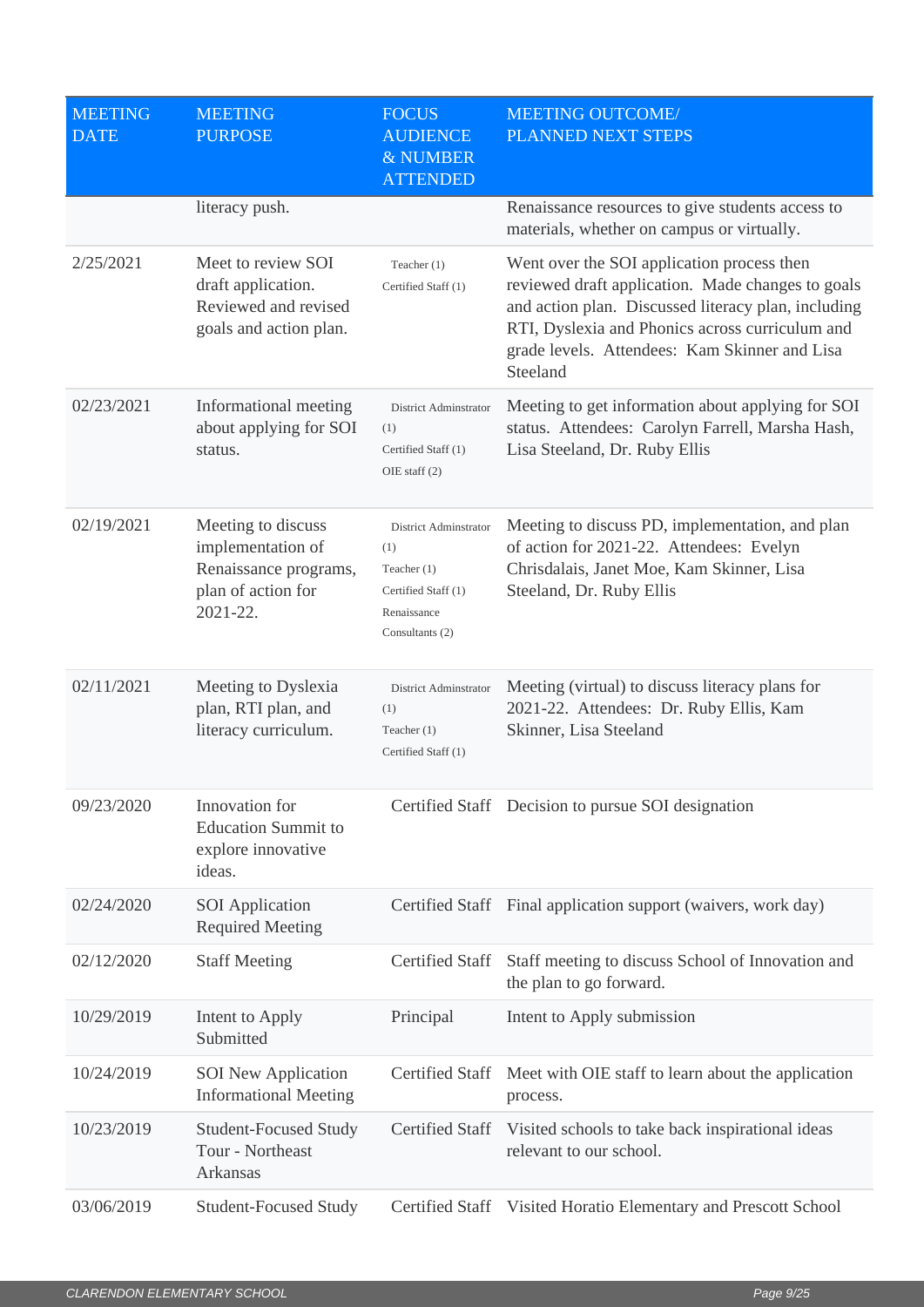| <b>MEETING</b><br><b>DATE</b> | <b>MEETING</b><br><b>PURPOSE</b>                                                                   | <b>FOCUS</b><br><b>AUDIENCE</b><br>& NUMBER<br><b>ATTENDED</b>                                         | <b>MEETING OUTCOME/</b><br>PLANNED NEXT STEPS                                                                                                                                                                                                                          |
|-------------------------------|----------------------------------------------------------------------------------------------------|--------------------------------------------------------------------------------------------------------|------------------------------------------------------------------------------------------------------------------------------------------------------------------------------------------------------------------------------------------------------------------------|
|                               | literacy push.                                                                                     |                                                                                                        | Renaissance resources to give students access to<br>materials, whether on campus or virtually.                                                                                                                                                                         |
| 2/25/2021                     | Meet to review SOI<br>draft application.<br>Reviewed and revised<br>goals and action plan.         | Teacher (1)<br>Certified Staff (1)                                                                     | Went over the SOI application process then<br>reviewed draft application. Made changes to goals<br>and action plan. Discussed literacy plan, including<br>RTI, Dyslexia and Phonics across curriculum and<br>grade levels. Attendees: Kam Skinner and Lisa<br>Steeland |
| 02/23/2021                    | Informational meeting<br>about applying for SOI<br>status.                                         | District Adminstrator<br>(1)<br>Certified Staff (1)<br>OIE staff (2)                                   | Meeting to get information about applying for SOI<br>status. Attendees: Carolyn Farrell, Marsha Hash,<br>Lisa Steeland, Dr. Ruby Ellis                                                                                                                                 |
| 02/19/2021                    | Meeting to discuss<br>implementation of<br>Renaissance programs,<br>plan of action for<br>2021-22. | District Adminstrator<br>(1)<br>Teacher $(1)$<br>Certified Staff (1)<br>Renaissance<br>Consultants (2) | Meeting to discuss PD, implementation, and plan<br>of action for 2021-22. Attendees: Evelyn<br>Chrisdalais, Janet Moe, Kam Skinner, Lisa<br>Steeland, Dr. Ruby Ellis                                                                                                   |
| 02/11/2021                    | Meeting to Dyslexia<br>plan, RTI plan, and<br>literacy curriculum.                                 | District Adminstrator<br>(1)<br>Teacher $(1)$<br>Certified Staff (1)                                   | Meeting (virtual) to discuss literacy plans for<br>2021-22. Attendees: Dr. Ruby Ellis, Kam<br>Skinner, Lisa Steeland                                                                                                                                                   |
| 09/23/2020                    | Innovation for<br><b>Education Summit to</b><br>explore innovative<br>ideas.                       |                                                                                                        | Certified Staff Decision to pursue SOI designation                                                                                                                                                                                                                     |
| 02/24/2020                    | <b>SOI</b> Application<br><b>Required Meeting</b>                                                  |                                                                                                        | Certified Staff Final application support (waivers, work day)                                                                                                                                                                                                          |
| 02/12/2020                    | <b>Staff Meeting</b>                                                                               | <b>Certified Staff</b>                                                                                 | Staff meeting to discuss School of Innovation and<br>the plan to go forward.                                                                                                                                                                                           |
| 10/29/2019                    | Intent to Apply<br>Submitted                                                                       | Principal                                                                                              | Intent to Apply submission                                                                                                                                                                                                                                             |
| 10/24/2019                    | <b>SOI</b> New Application<br><b>Informational Meeting</b>                                         | <b>Certified Staff</b>                                                                                 | Meet with OIE staff to learn about the application<br>process.                                                                                                                                                                                                         |
| 10/23/2019                    | <b>Student-Focused Study</b><br>Tour - Northeast<br>Arkansas                                       | Certified Staff                                                                                        | Visited schools to take back inspirational ideas<br>relevant to our school.                                                                                                                                                                                            |
| 03/06/2019                    | <b>Student-Focused Study</b>                                                                       | Certified Staff                                                                                        | Visited Horatio Elementary and Prescott School                                                                                                                                                                                                                         |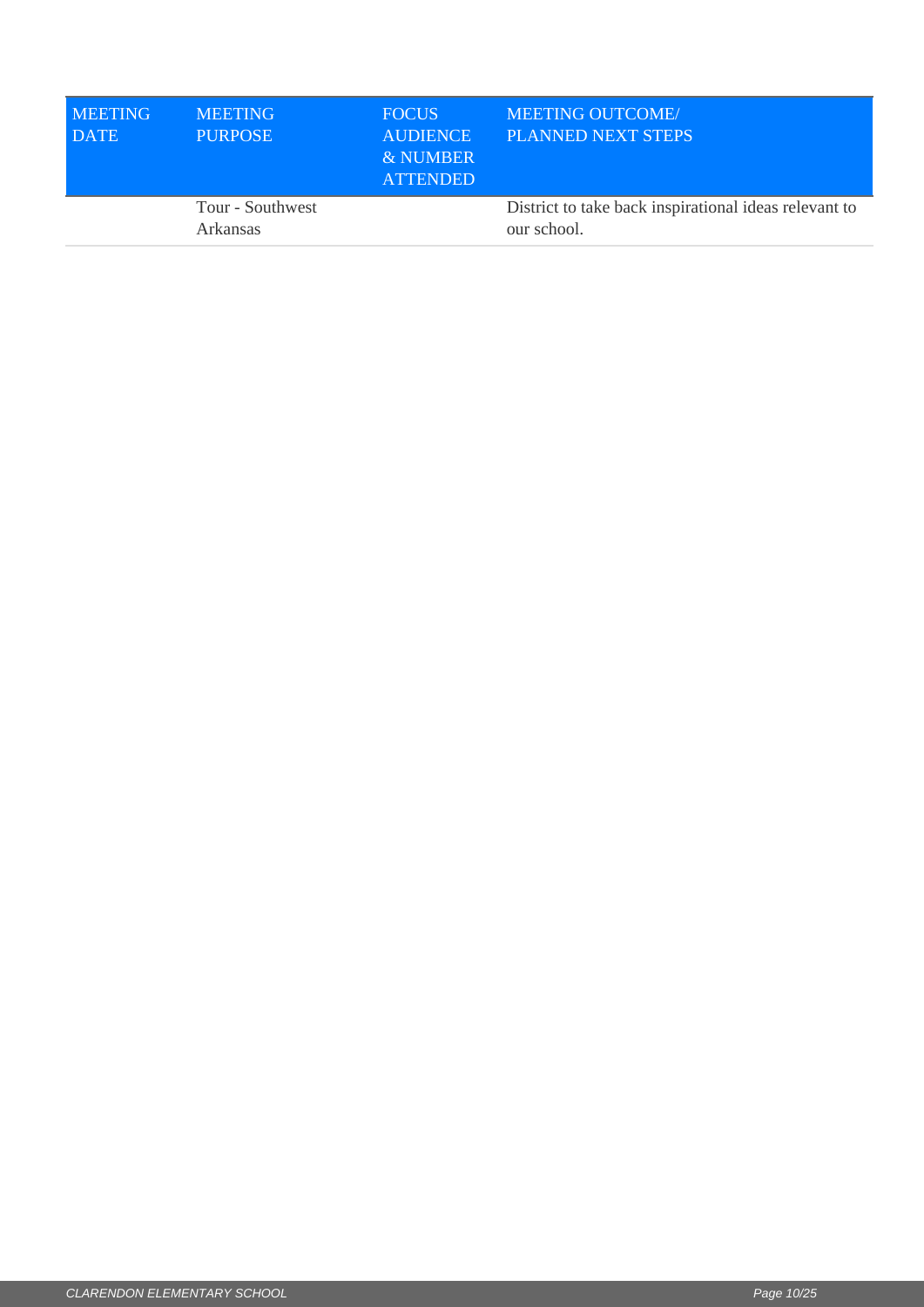| <b>MEETING</b><br><b>DATE</b> | <b>MEETING</b><br><b>PURPOSE</b>    | <b>FOCUS</b><br><b>AUDIENCE</b><br>& NUMBER<br><b>ATTENDED</b> | <b>MEETING OUTCOME/</b><br>PLANNED NEXT STEPS                        |
|-------------------------------|-------------------------------------|----------------------------------------------------------------|----------------------------------------------------------------------|
|                               | Tour - Southwest<br><b>Arkansas</b> |                                                                | District to take back inspirational ideas relevant to<br>our school. |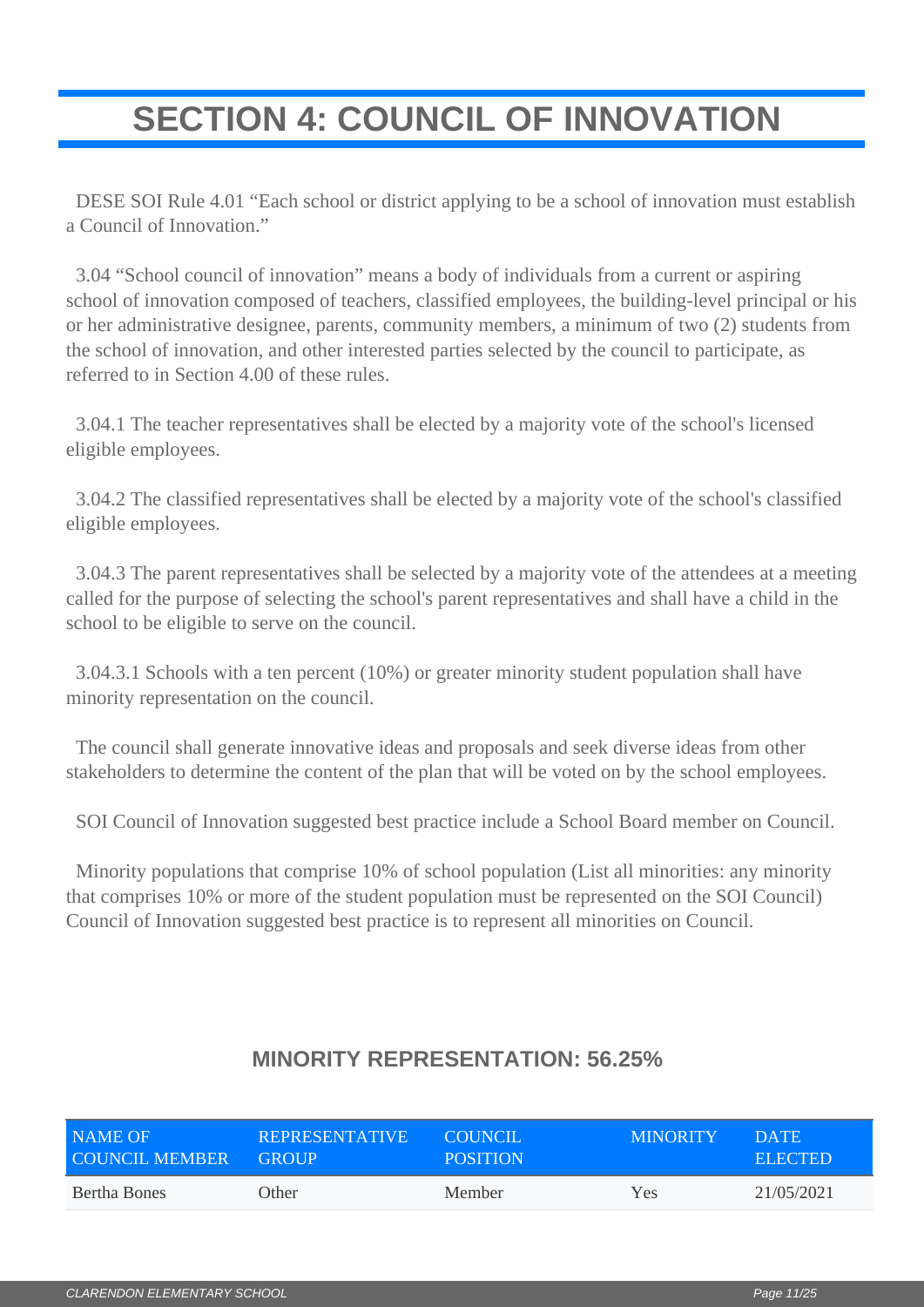# <span id="page-10-0"></span>**SECTION 4: COUNCIL OF INNOVATION**

 DESE SOI Rule 4.01 "Each school or district applying to be a school of innovation must establish a Council of Innovation."

 3.04 "School council of innovation" means a body of individuals from a current or aspiring school of innovation composed of teachers, classified employees, the building-level principal or his or her administrative designee, parents, community members, a minimum of two (2) students from the school of innovation, and other interested parties selected by the council to participate, as referred to in Section 4.00 of these rules.

 3.04.1 The teacher representatives shall be elected by a majority vote of the school's licensed eligible employees.

 3.04.2 The classified representatives shall be elected by a majority vote of the school's classified eligible employees.

 3.04.3 The parent representatives shall be selected by a majority vote of the attendees at a meeting called for the purpose of selecting the school's parent representatives and shall have a child in the school to be eligible to serve on the council.

 3.04.3.1 Schools with a ten percent (10%) or greater minority student population shall have minority representation on the council.

 The council shall generate innovative ideas and proposals and seek diverse ideas from other stakeholders to determine the content of the plan that will be voted on by the school employees.

SOI Council of Innovation suggested best practice include a School Board member on Council.

 Minority populations that comprise 10% of school population (List all minorities: any minority that comprises 10% or more of the student population must be represented on the SOI Council) Council of Innovation suggested best practice is to represent all minorities on Council.

| NAME OF               | <b>REPRESENTATIVE</b> | COUNCIL.        | <b>MINORITY</b> | DATE.          |
|-----------------------|-----------------------|-----------------|-----------------|----------------|
| <b>COUNCIL MEMBER</b> | <b>GROUP</b>          | <b>POSITION</b> |                 | <b>ELECTED</b> |
| Bertha Bones          | Other                 | Member          | Yes             | 21/05/2021     |

## **MINORITY REPRESENTATION: 56.25%**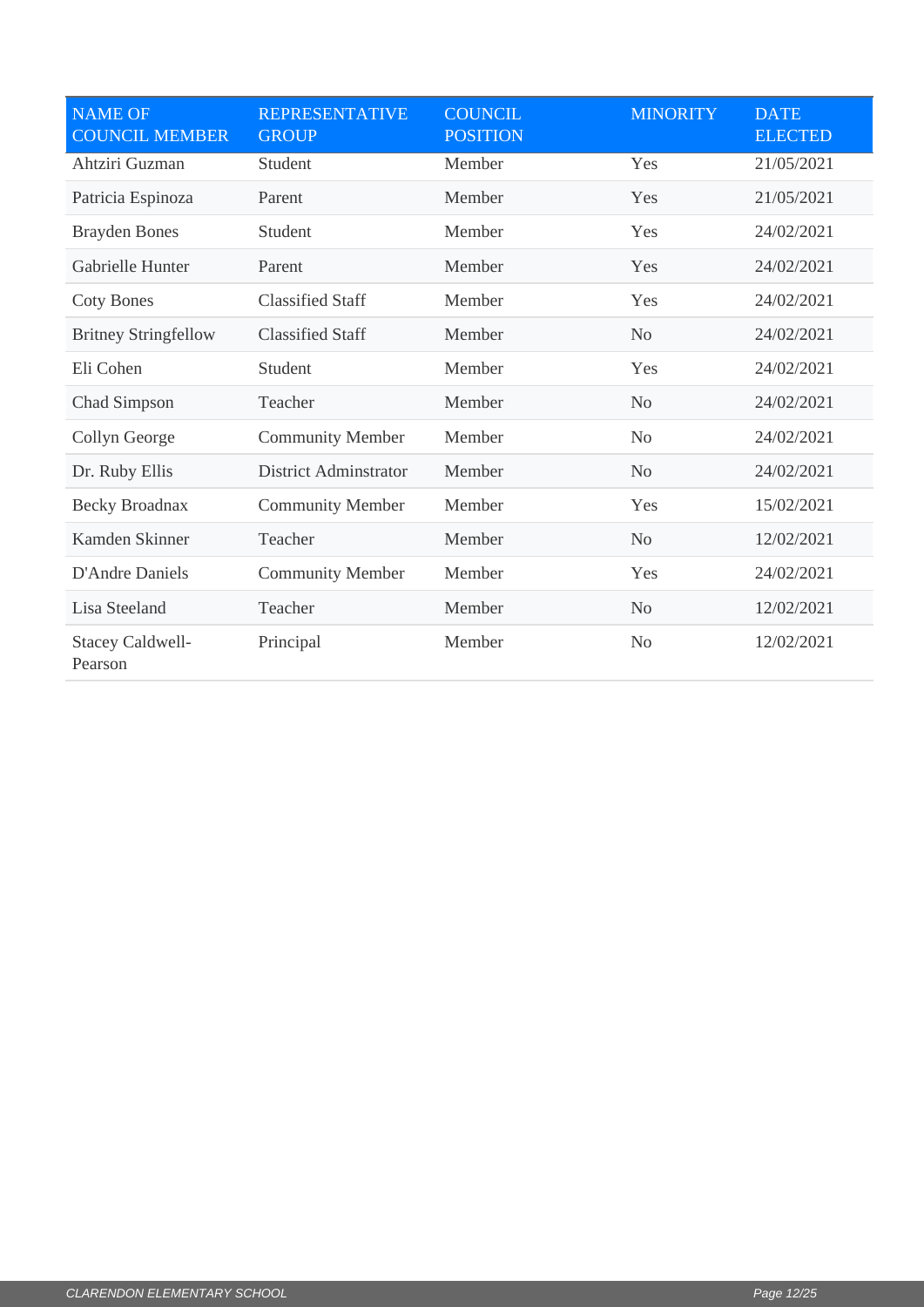| <b>NAME OF</b><br><b>COUNCIL MEMBER</b> | <b>REPRESENTATIVE</b><br><b>GROUP</b> | <b>COUNCIL</b><br><b>POSITION</b> | <b>MINORITY</b> | <b>DATE</b><br><b>ELECTED</b> |
|-----------------------------------------|---------------------------------------|-----------------------------------|-----------------|-------------------------------|
| Ahtziri Guzman                          | Student                               | Member                            | Yes             | 21/05/2021                    |
| Patricia Espinoza                       | Parent                                | Member                            | Yes             | 21/05/2021                    |
| <b>Brayden Bones</b>                    | Student                               | Member                            | Yes             | 24/02/2021                    |
| Gabrielle Hunter                        | Parent                                | Member                            | Yes             | 24/02/2021                    |
| <b>Coty Bones</b>                       | <b>Classified Staff</b>               | Member                            | Yes             | 24/02/2021                    |
| <b>Britney Stringfellow</b>             | <b>Classified Staff</b>               | Member                            | N <sub>o</sub>  | 24/02/2021                    |
| Eli Cohen                               | Student                               | Member                            | Yes             | 24/02/2021                    |
| Chad Simpson                            | Teacher                               | Member                            | N <sub>o</sub>  | 24/02/2021                    |
| Collyn George                           | <b>Community Member</b>               | Member                            | N <sub>o</sub>  | 24/02/2021                    |
| Dr. Ruby Ellis                          | <b>District Adminstrator</b>          | Member                            | N <sub>o</sub>  | 24/02/2021                    |
| Becky Broadnax                          | <b>Community Member</b>               | Member                            | Yes             | 15/02/2021                    |
| Kamden Skinner                          | Teacher                               | Member                            | N <sub>0</sub>  | 12/02/2021                    |
| <b>D'Andre Daniels</b>                  | <b>Community Member</b>               | Member                            | Yes             | 24/02/2021                    |
| Lisa Steeland                           | Teacher                               | Member                            | N <sub>o</sub>  | 12/02/2021                    |
| <b>Stacey Caldwell-</b><br>Pearson      | Principal                             | Member                            | N <sub>o</sub>  | 12/02/2021                    |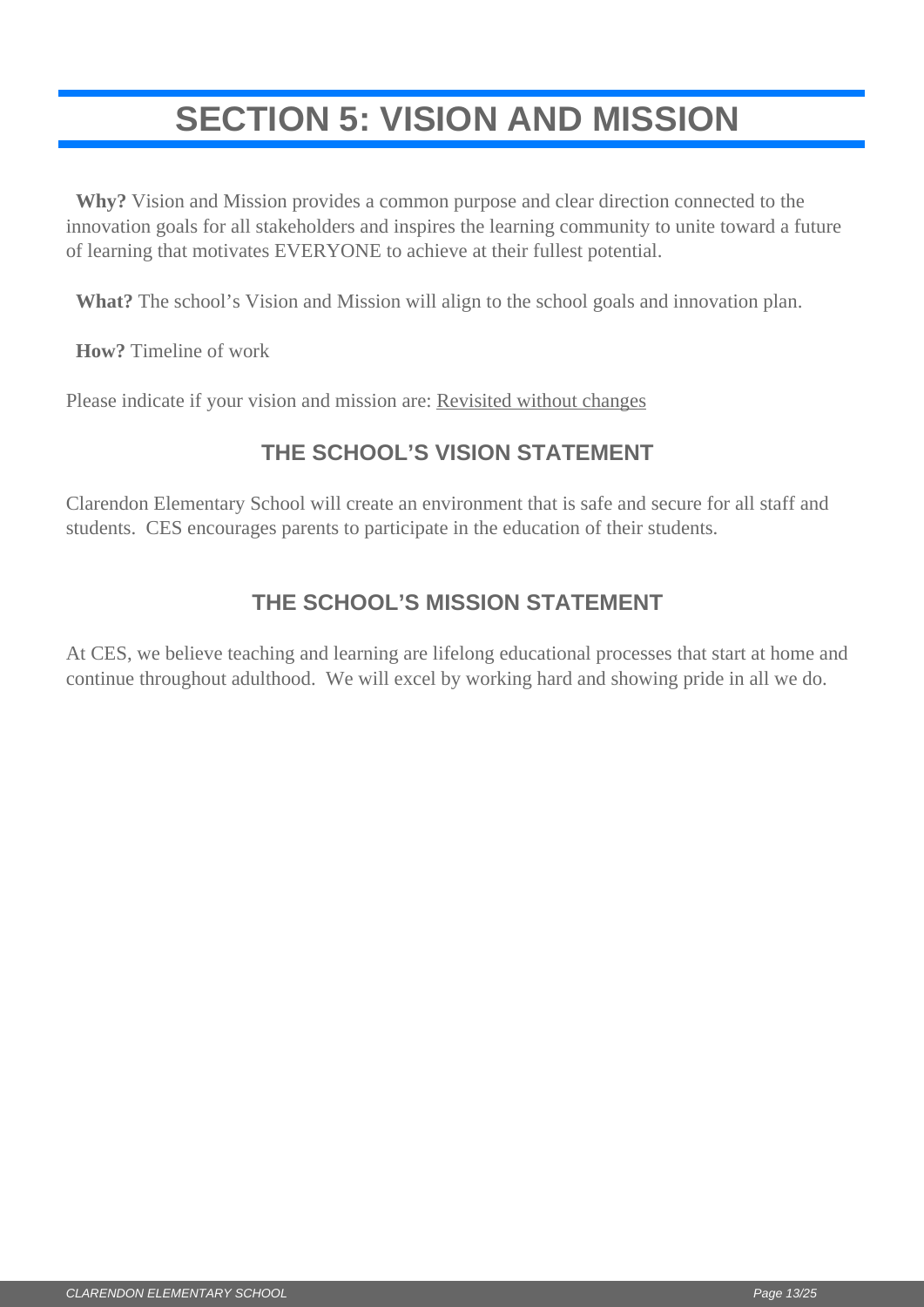# <span id="page-12-0"></span>**SECTION 5: VISION AND MISSION**

 **Why?** Vision and Mission provides a common purpose and clear direction connected to the innovation goals for all stakeholders and inspires the learning community to unite toward a future of learning that motivates EVERYONE to achieve at their fullest potential.

**What?** The school's Vision and Mission will align to the school goals and innovation plan.

**How?** Timeline of work

Please indicate if your vision and mission are: Revisited without changes

## **THE SCHOOL'S VISION STATEMENT**

Clarendon Elementary School will create an environment that is safe and secure for all staff and students. CES encourages parents to participate in the education of their students.

## **THE SCHOOL'S MISSION STATEMENT**

At CES, we believe teaching and learning are lifelong educational processes that start at home and continue throughout adulthood. We will excel by working hard and showing pride in all we do.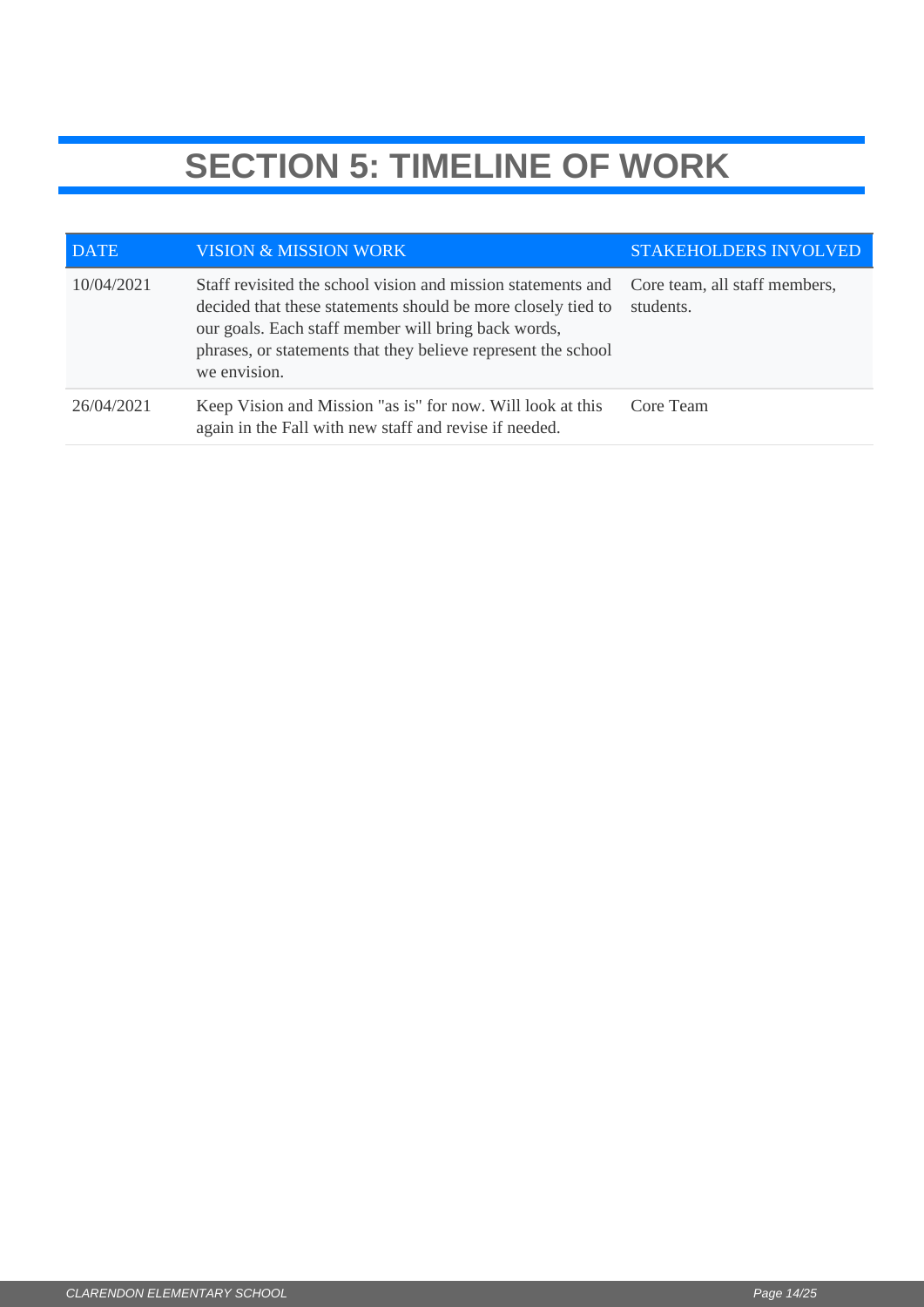# **SECTION 5: TIMELINE OF WORK**

| <b>DATE</b> | <b>VISION &amp; MISSION WORK</b>                                                                                                                                                                                                                                     | <b>STAKEHOLDERS INVOLVED</b>               |
|-------------|----------------------------------------------------------------------------------------------------------------------------------------------------------------------------------------------------------------------------------------------------------------------|--------------------------------------------|
| 10/04/2021  | Staff revisited the school vision and mission statements and<br>decided that these statements should be more closely tied to<br>our goals. Each staff member will bring back words,<br>phrases, or statements that they believe represent the school<br>we envision. | Core team, all staff members,<br>students. |
| 26/04/2021  | Keep Vision and Mission "as is" for now. Will look at this<br>again in the Fall with new staff and revise if needed.                                                                                                                                                 | Core Team                                  |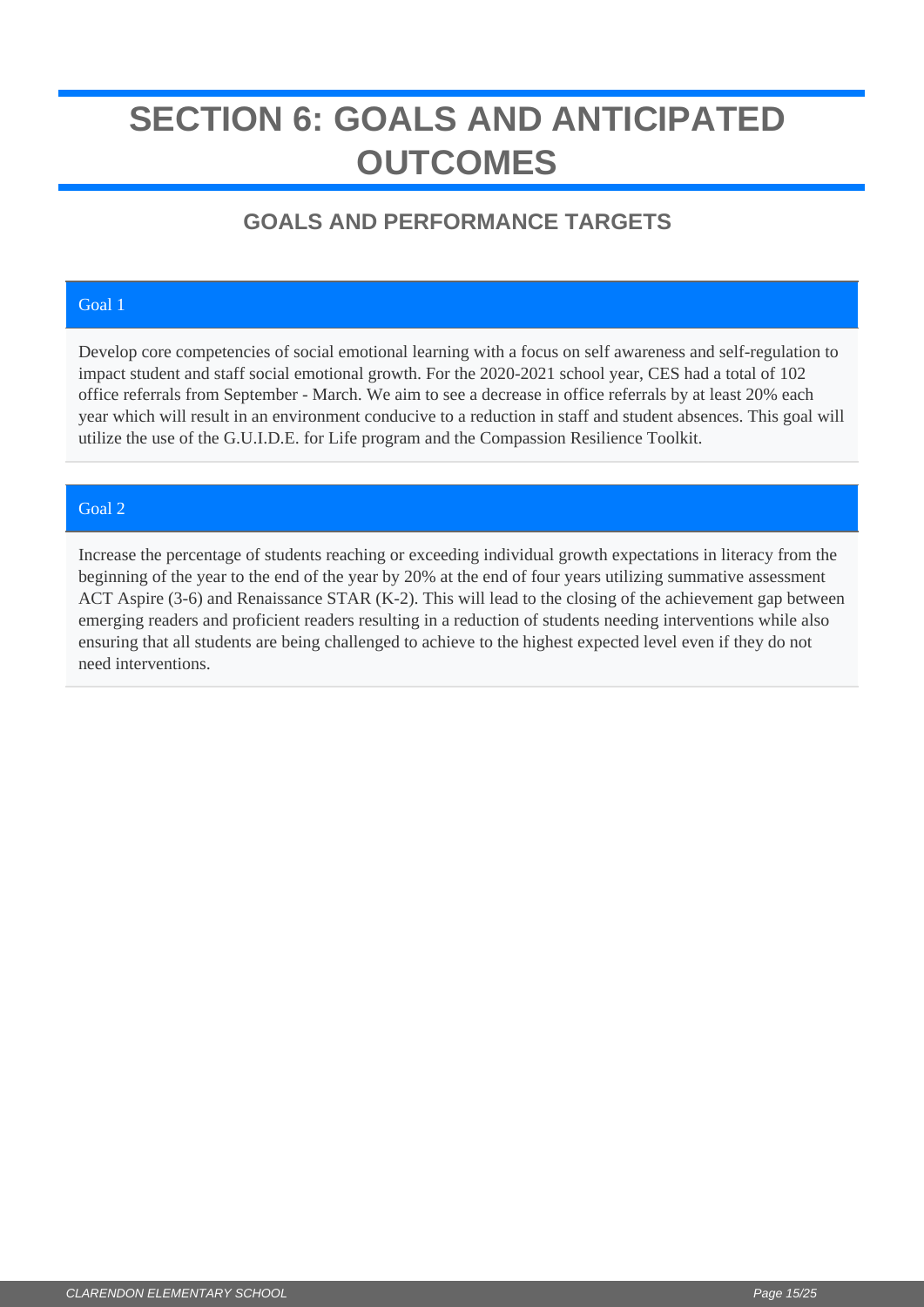# <span id="page-14-0"></span>**SECTION 6: GOALS AND ANTICIPATED OUTCOMES**

## **GOALS AND PERFORMANCE TARGETS**

### Goal 1

Develop core competencies of social emotional learning with a focus on self awareness and self-regulation to impact student and staff social emotional growth. For the 2020-2021 school year, CES had a total of 102 office referrals from September - March. We aim to see a decrease in office referrals by at least 20% each year which will result in an environment conducive to a reduction in staff and student absences. This goal will utilize the use of the G.U.I.D.E. for Life program and the Compassion Resilience Toolkit.

### Goal 2

Increase the percentage of students reaching or exceeding individual growth expectations in literacy from the beginning of the year to the end of the year by 20% at the end of four years utilizing summative assessment ACT Aspire (3-6) and Renaissance STAR (K-2). This will lead to the closing of the achievement gap between emerging readers and proficient readers resulting in a reduction of students needing interventions while also ensuring that all students are being challenged to achieve to the highest expected level even if they do not need interventions.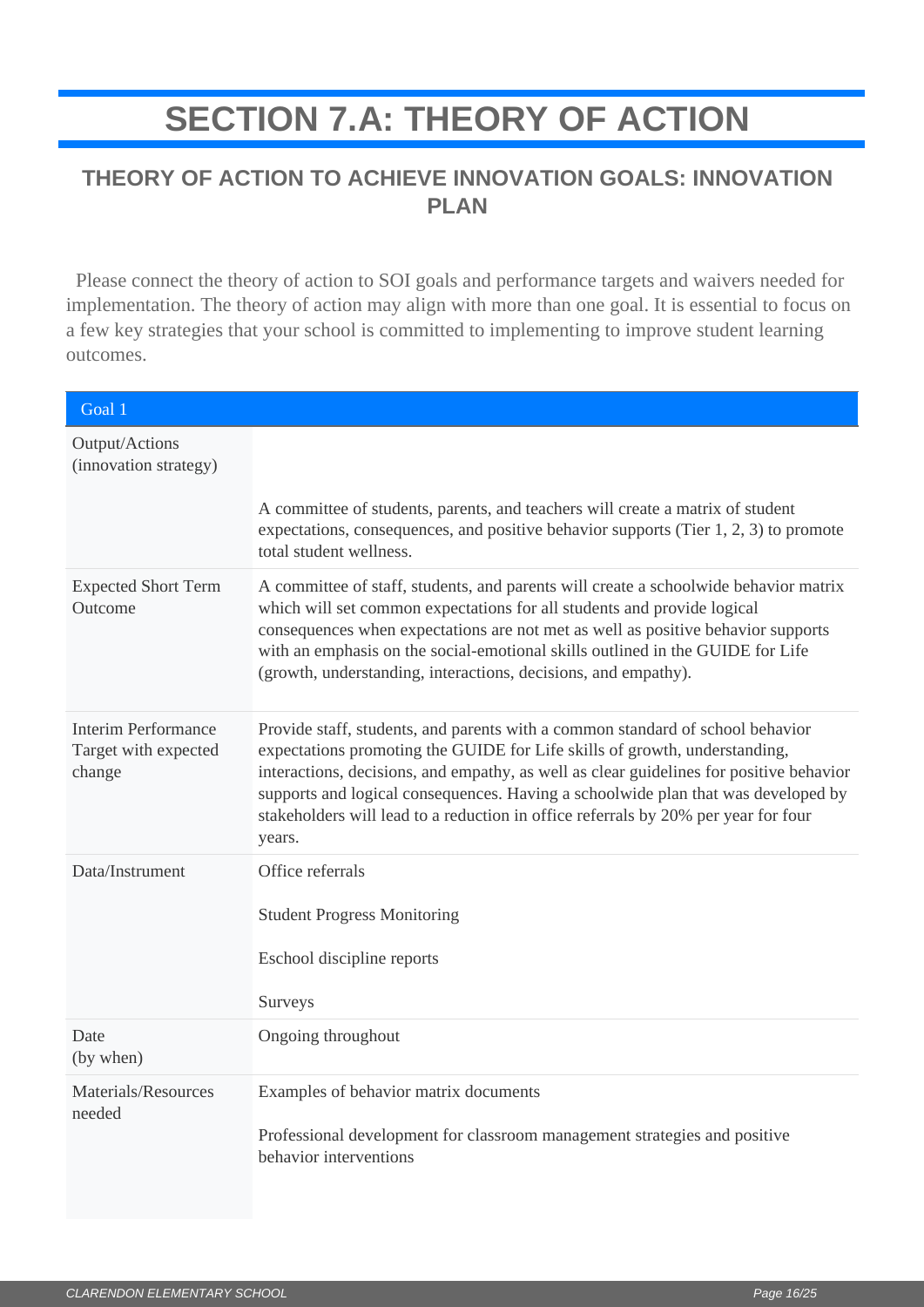# **SECTION 7.A: THEORY OF ACTION**

## <span id="page-15-0"></span>**THEORY OF ACTION TO ACHIEVE INNOVATION GOALS: INNOVATION PLAN**

 Please connect the theory of action to SOI goals and performance targets and waivers needed for implementation. The theory of action may align with more than one goal. It is essential to focus on a few key strategies that your school is committed to implementing to improve student learning outcomes.

| Goal 1                                                       |                                                                                                                                                                                                                                                                                                                                                                                                                                              |
|--------------------------------------------------------------|----------------------------------------------------------------------------------------------------------------------------------------------------------------------------------------------------------------------------------------------------------------------------------------------------------------------------------------------------------------------------------------------------------------------------------------------|
| Output/Actions<br>(innovation strategy)                      | A committee of students, parents, and teachers will create a matrix of student<br>expectations, consequences, and positive behavior supports (Tier $1, 2, 3$ ) to promote<br>total student wellness.                                                                                                                                                                                                                                         |
| <b>Expected Short Term</b><br>Outcome                        | A committee of staff, students, and parents will create a schoolwide behavior matrix<br>which will set common expectations for all students and provide logical<br>consequences when expectations are not met as well as positive behavior supports<br>with an emphasis on the social-emotional skills outlined in the GUIDE for Life<br>(growth, understanding, interactions, decisions, and empathy).                                      |
| <b>Interim Performance</b><br>Target with expected<br>change | Provide staff, students, and parents with a common standard of school behavior<br>expectations promoting the GUIDE for Life skills of growth, understanding,<br>interactions, decisions, and empathy, as well as clear guidelines for positive behavior<br>supports and logical consequences. Having a schoolwide plan that was developed by<br>stakeholders will lead to a reduction in office referrals by 20% per year for four<br>years. |
| Data/Instrument                                              | Office referrals<br><b>Student Progress Monitoring</b><br>Eschool discipline reports<br>Surveys                                                                                                                                                                                                                                                                                                                                              |
| Date<br>(by when)                                            | Ongoing throughout                                                                                                                                                                                                                                                                                                                                                                                                                           |
| Materials/Resources<br>needed                                | Examples of behavior matrix documents<br>Professional development for classroom management strategies and positive<br>behavior interventions                                                                                                                                                                                                                                                                                                 |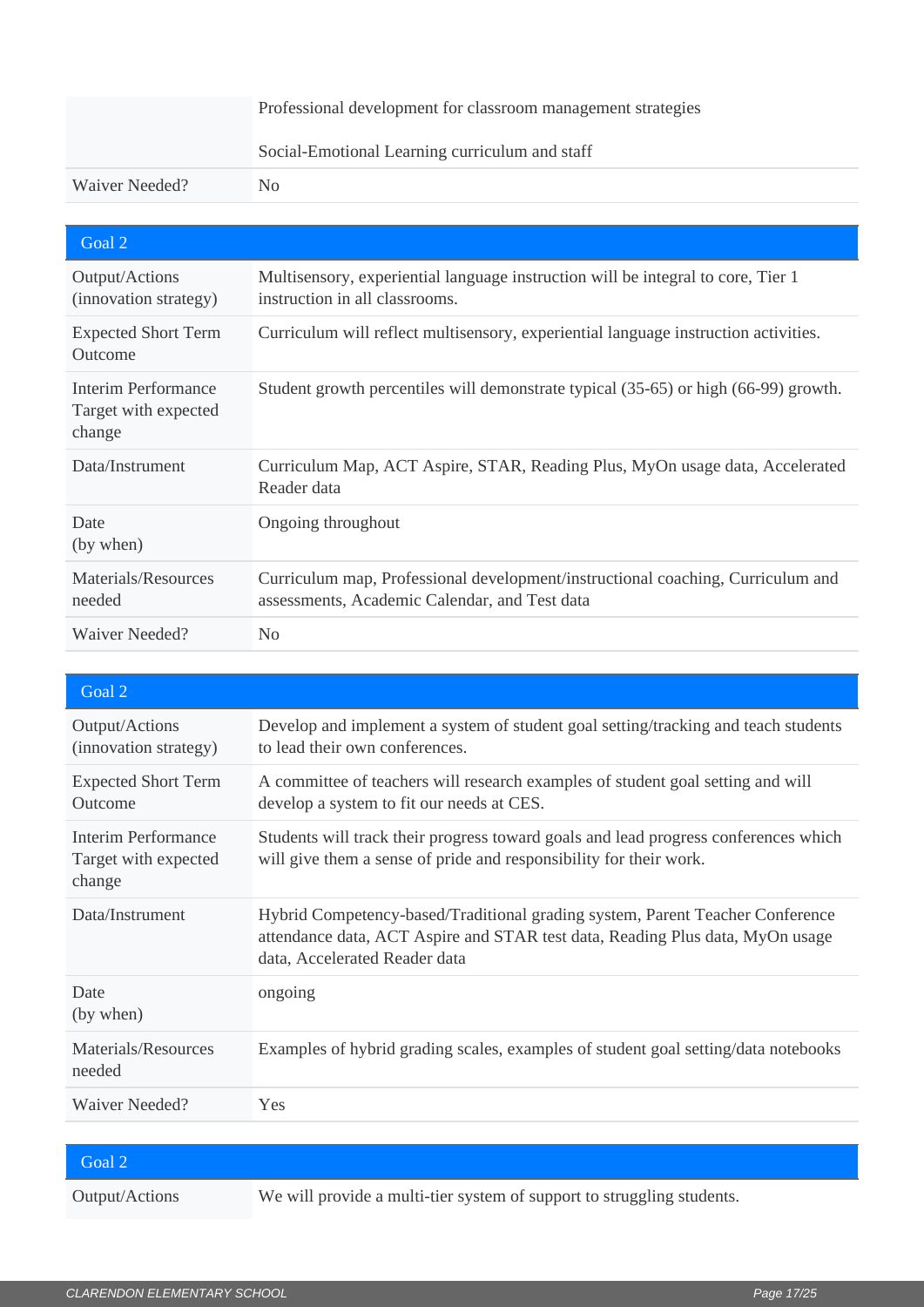| Professional development for classroom management strategies |                                                |
|--------------------------------------------------------------|------------------------------------------------|
|                                                              | Social-Emotional Learning curriculum and staff |
| Waiver Needed?                                               | No.                                            |

| Goal 2                                                |                                                                                                                                  |
|-------------------------------------------------------|----------------------------------------------------------------------------------------------------------------------------------|
| Output/Actions<br>(innovation strategy)               | Multisensory, experiential language instruction will be integral to core, Tier 1<br>instruction in all classrooms.               |
| <b>Expected Short Term</b><br>Outcome                 | Curriculum will reflect multisensory, experiential language instruction activities.                                              |
| Interim Performance<br>Target with expected<br>change | Student growth percentiles will demonstrate typical (35-65) or high (66-99) growth.                                              |
| Data/Instrument                                       | Curriculum Map, ACT Aspire, STAR, Reading Plus, MyOn usage data, Accelerated<br>Reader data                                      |
| Date<br>(by when)                                     | Ongoing throughout                                                                                                               |
| Materials/Resources<br>needed                         | Curriculum map, Professional development/instructional coaching, Curriculum and<br>assessments, Academic Calendar, and Test data |
| <b>Waiver Needed?</b>                                 | No                                                                                                                               |

| Goal 2                                                |                                                                                                                                                                                                 |
|-------------------------------------------------------|-------------------------------------------------------------------------------------------------------------------------------------------------------------------------------------------------|
| Output/Actions<br>(innovation strategy)               | Develop and implement a system of student goal setting/tracking and teach students<br>to lead their own conferences.                                                                            |
| <b>Expected Short Term</b><br>Outcome                 | A committee of teachers will research examples of student goal setting and will<br>develop a system to fit our needs at CES.                                                                    |
| Interim Performance<br>Target with expected<br>change | Students will track their progress toward goals and lead progress conferences which<br>will give them a sense of pride and responsibility for their work.                                       |
| Data/Instrument                                       | Hybrid Competency-based/Traditional grading system, Parent Teacher Conference<br>attendance data, ACT Aspire and STAR test data, Reading Plus data, MyOn usage<br>data, Accelerated Reader data |
| Date<br>(by when)                                     | ongoing                                                                                                                                                                                         |
| Materials/Resources<br>needed                         | Examples of hybrid grading scales, examples of student goal setting/data notebooks                                                                                                              |
| Waiver Needed?                                        | Yes                                                                                                                                                                                             |

| Goal 2         |                                                                        |
|----------------|------------------------------------------------------------------------|
| Output/Actions | We will provide a multi-tier system of support to struggling students. |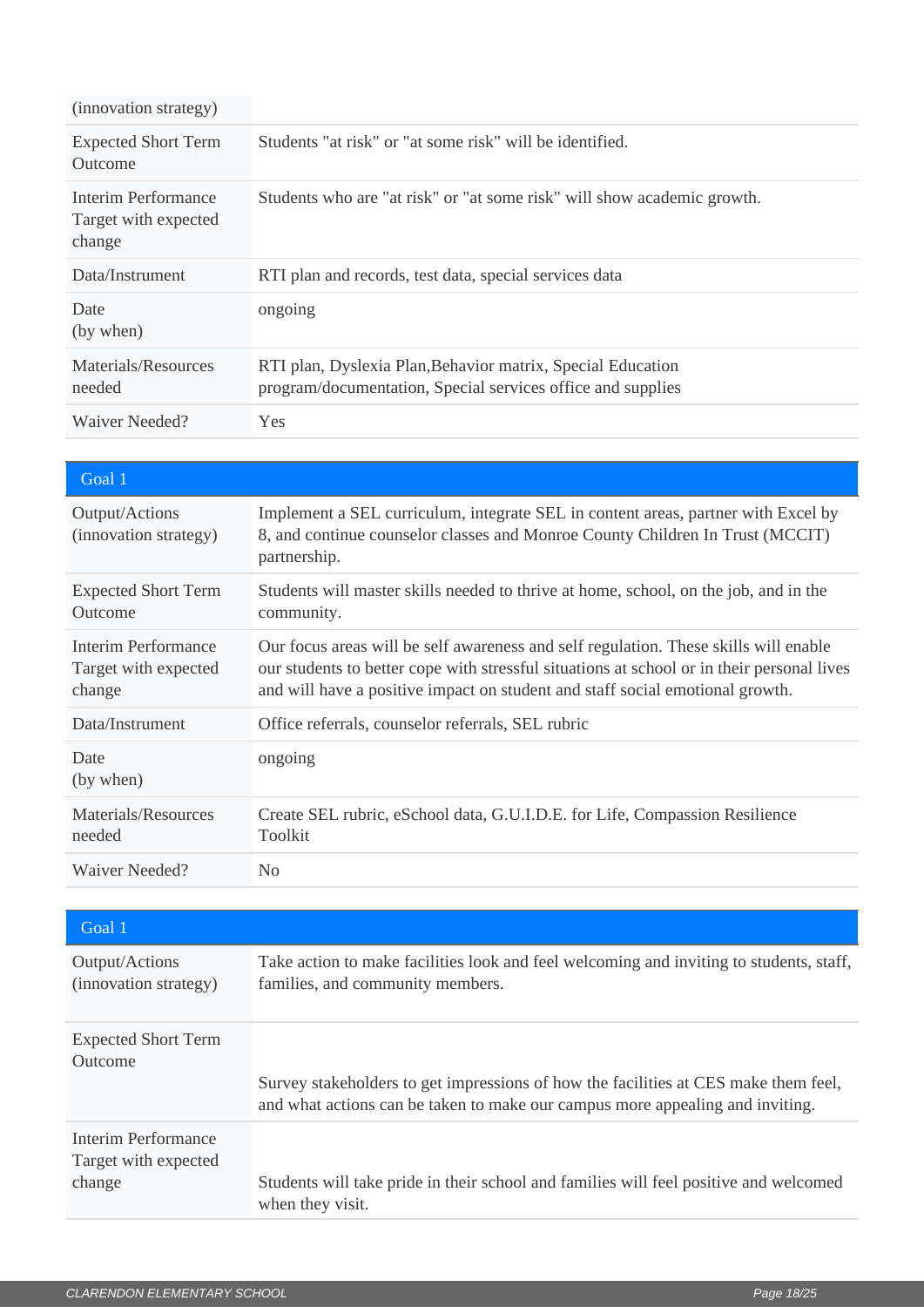| (innovation strategy)                                 |                                                                                                                            |
|-------------------------------------------------------|----------------------------------------------------------------------------------------------------------------------------|
| <b>Expected Short Term</b><br>Outcome                 | Students "at risk" or "at some risk" will be identified.                                                                   |
| Interim Performance<br>Target with expected<br>change | Students who are "at risk" or "at some risk" will show academic growth.                                                    |
| Data/Instrument                                       | RTI plan and records, test data, special services data                                                                     |
| Date<br>(by when)                                     | ongoing                                                                                                                    |
| Materials/Resources<br>needed                         | RTI plan, Dyslexia Plan, Behavior matrix, Special Education<br>program/documentation, Special services office and supplies |
| Waiver Needed?                                        | <b>Yes</b>                                                                                                                 |

| Goal 1                                                |                                                                                                                                                                                                                                                                     |
|-------------------------------------------------------|---------------------------------------------------------------------------------------------------------------------------------------------------------------------------------------------------------------------------------------------------------------------|
| Output/Actions<br>(innovation strategy)               | Implement a SEL curriculum, integrate SEL in content areas, partner with Excel by<br>8, and continue counselor classes and Monroe County Children In Trust (MCCIT)<br>partnership.                                                                                  |
| <b>Expected Short Term</b><br>Outcome                 | Students will master skills needed to thrive at home, school, on the job, and in the<br>community.                                                                                                                                                                  |
| Interim Performance<br>Target with expected<br>change | Our focus areas will be self awareness and self regulation. These skills will enable<br>our students to better cope with stressful situations at school or in their personal lives<br>and will have a positive impact on student and staff social emotional growth. |
| Data/Instrument                                       | Office referrals, counselor referrals, SEL rubric                                                                                                                                                                                                                   |
| Date<br>(by when)                                     | ongoing                                                                                                                                                                                                                                                             |
| Materials/Resources<br>needed                         | Create SEL rubric, eSchool data, G.U.I.D.E. for Life, Compassion Resilience<br>Toolkit                                                                                                                                                                              |
| Waiver Needed?                                        | N <sub>0</sub>                                                                                                                                                                                                                                                      |

| Goal 1                                                |                                                                                                                                                                      |
|-------------------------------------------------------|----------------------------------------------------------------------------------------------------------------------------------------------------------------------|
| Output/Actions<br>(innovation strategy)               | Take action to make facilities look and feel welcoming and inviting to students, staff,<br>families, and community members.                                          |
| <b>Expected Short Term</b><br>Outcome                 | Survey stakeholders to get impressions of how the facilities at CES make them feel,<br>and what actions can be taken to make our campus more appealing and inviting. |
| Interim Performance<br>Target with expected<br>change | Students will take pride in their school and families will feel positive and welcomed<br>when they visit.                                                            |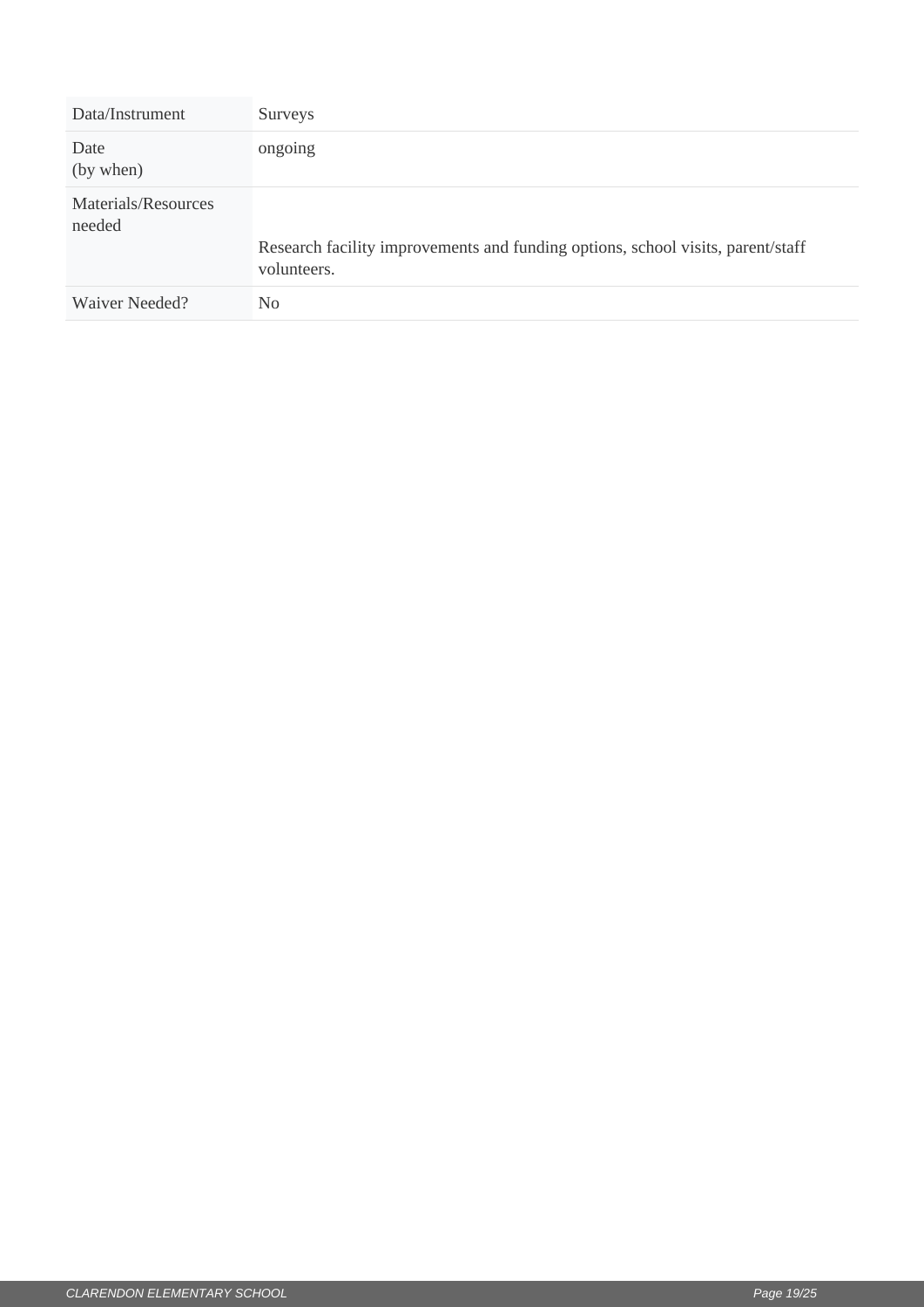| Data/Instrument               | Surveys                                                                                        |
|-------------------------------|------------------------------------------------------------------------------------------------|
| Date<br>(by when)             | ongoing                                                                                        |
| Materials/Resources<br>needed | Research facility improvements and funding options, school visits, parent/staff<br>volunteers. |
| Waiver Needed?                | No                                                                                             |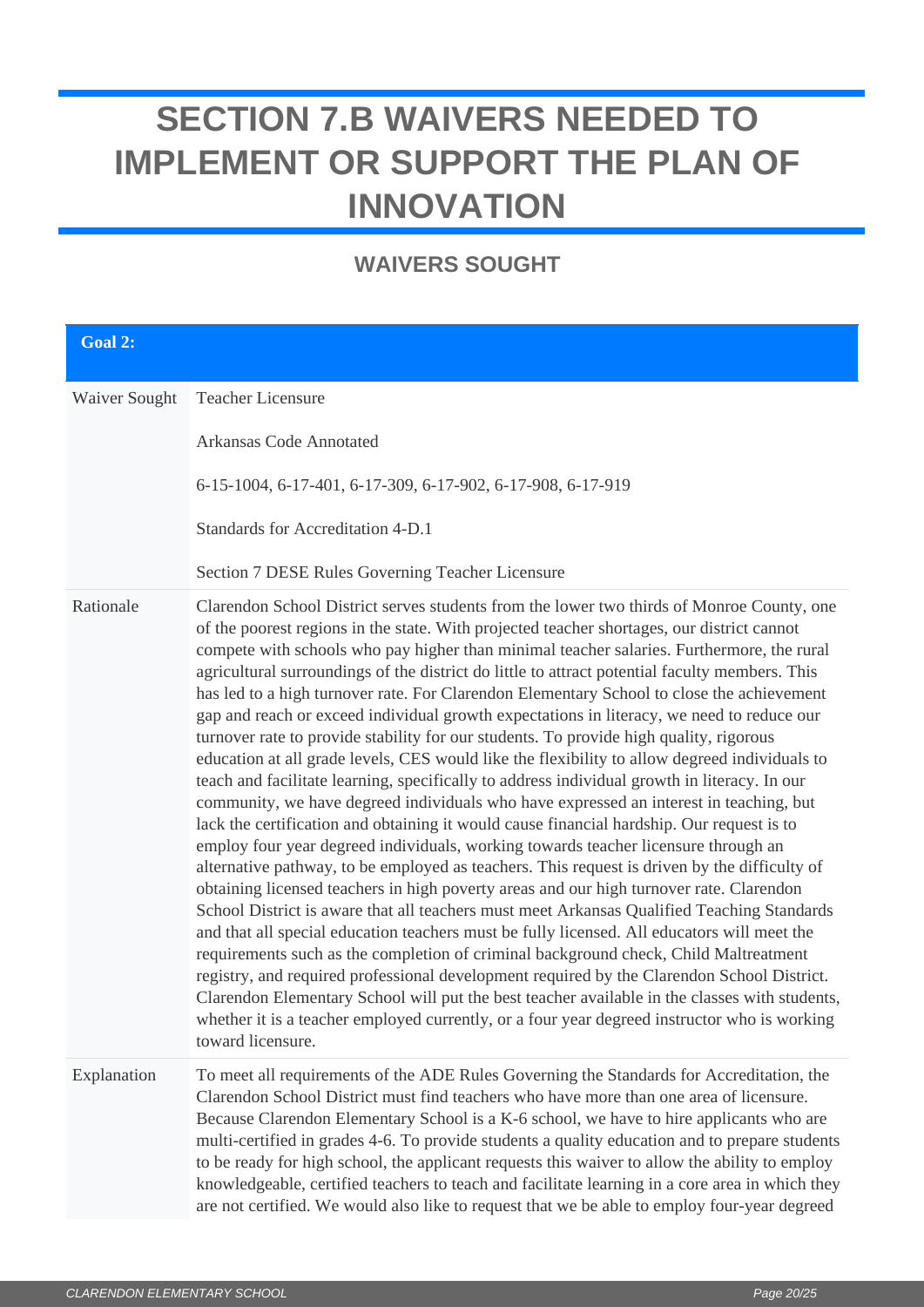# <span id="page-19-0"></span>**SECTION 7.B WAIVERS NEEDED TO IMPLEMENT OR SUPPORT THE PLAN OF INNOVATION**

## **WAIVERS SOUGHT**

| Goal 2:       |                                                                                                                                                                                                                                                                                                                                                                                                                                                                                                                                                                                                                                                                                                                                                                                                                                                                                                                                                                                                                                                                                                                                                                                                                                                                                                                                                                                                                                                                                                                                                                                                                                                                                                                                                                                                                                                                                                                                                              |
|---------------|--------------------------------------------------------------------------------------------------------------------------------------------------------------------------------------------------------------------------------------------------------------------------------------------------------------------------------------------------------------------------------------------------------------------------------------------------------------------------------------------------------------------------------------------------------------------------------------------------------------------------------------------------------------------------------------------------------------------------------------------------------------------------------------------------------------------------------------------------------------------------------------------------------------------------------------------------------------------------------------------------------------------------------------------------------------------------------------------------------------------------------------------------------------------------------------------------------------------------------------------------------------------------------------------------------------------------------------------------------------------------------------------------------------------------------------------------------------------------------------------------------------------------------------------------------------------------------------------------------------------------------------------------------------------------------------------------------------------------------------------------------------------------------------------------------------------------------------------------------------------------------------------------------------------------------------------------------------|
| Waiver Sought | Teacher Licensure<br>Arkansas Code Annotated<br>6-15-1004, 6-17-401, 6-17-309, 6-17-902, 6-17-908, 6-17-919<br>Standards for Accreditation 4-D.1<br>Section 7 DESE Rules Governing Teacher Licensure                                                                                                                                                                                                                                                                                                                                                                                                                                                                                                                                                                                                                                                                                                                                                                                                                                                                                                                                                                                                                                                                                                                                                                                                                                                                                                                                                                                                                                                                                                                                                                                                                                                                                                                                                         |
| Rationale     | Clarendon School District serves students from the lower two thirds of Monroe County, one<br>of the poorest regions in the state. With projected teacher shortages, our district cannot<br>compete with schools who pay higher than minimal teacher salaries. Furthermore, the rural<br>agricultural surroundings of the district do little to attract potential faculty members. This<br>has led to a high turnover rate. For Clarendon Elementary School to close the achievement<br>gap and reach or exceed individual growth expectations in literacy, we need to reduce our<br>turnover rate to provide stability for our students. To provide high quality, rigorous<br>education at all grade levels, CES would like the flexibility to allow degreed individuals to<br>teach and facilitate learning, specifically to address individual growth in literacy. In our<br>community, we have degreed individuals who have expressed an interest in teaching, but<br>lack the certification and obtaining it would cause financial hardship. Our request is to<br>employ four year degreed individuals, working towards teacher licensure through an<br>alternative pathway, to be employed as teachers. This request is driven by the difficulty of<br>obtaining licensed teachers in high poverty areas and our high turnover rate. Clarendon<br>School District is aware that all teachers must meet Arkansas Qualified Teaching Standards<br>and that all special education teachers must be fully licensed. All educators will meet the<br>requirements such as the completion of criminal background check, Child Maltreatment<br>registry, and required professional development required by the Clarendon School District.<br>Clarendon Elementary School will put the best teacher available in the classes with students,<br>whether it is a teacher employed currently, or a four year degreed instructor who is working<br>toward licensure. |
| Explanation   | To meet all requirements of the ADE Rules Governing the Standards for Accreditation, the<br>Clarendon School District must find teachers who have more than one area of licensure.<br>Because Clarendon Elementary School is a K-6 school, we have to hire applicants who are<br>multi-certified in grades 4-6. To provide students a quality education and to prepare students<br>to be ready for high school, the applicant requests this waiver to allow the ability to employ<br>knowledgeable, certified teachers to teach and facilitate learning in a core area in which they<br>are not certified. We would also like to request that we be able to employ four-year degreed                                                                                                                                                                                                                                                                                                                                                                                                                                                                                                                                                                                                                                                                                                                                                                                                                                                                                                                                                                                                                                                                                                                                                                                                                                                                         |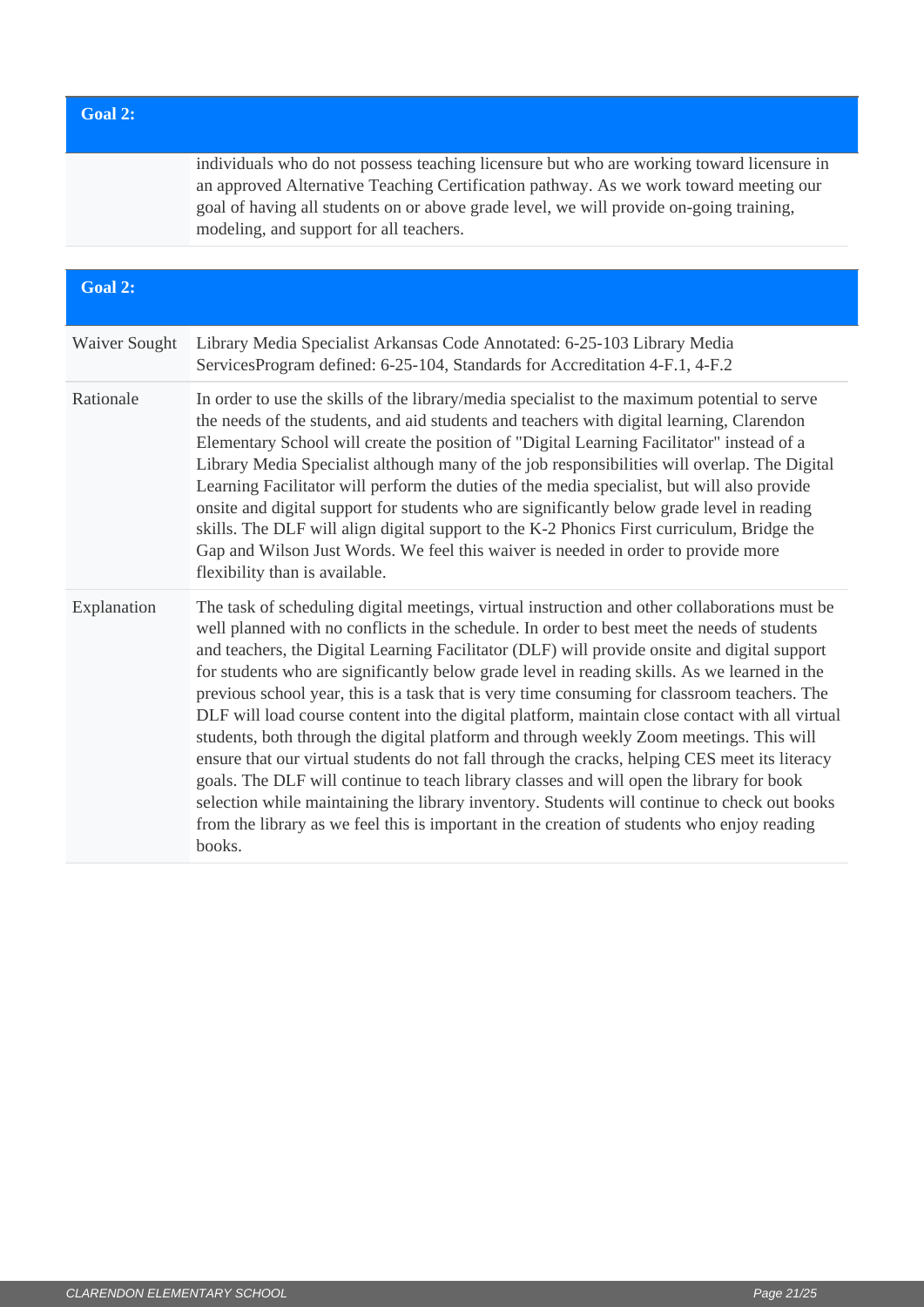### **Goal 2:**

individuals who do not possess teaching licensure but who are working toward licensure in an approved Alternative Teaching Certification pathway. As we work toward meeting our goal of having all students on or above grade level, we will provide on-going training, modeling, and support for all teachers.

| Goal 2:       |                                                                                                                                                                                                                                                                                                                                                                                                                                                                                                                                                                                                                                                                                                                                                                                                                                                                                                                                                                                                                                                                                                   |
|---------------|---------------------------------------------------------------------------------------------------------------------------------------------------------------------------------------------------------------------------------------------------------------------------------------------------------------------------------------------------------------------------------------------------------------------------------------------------------------------------------------------------------------------------------------------------------------------------------------------------------------------------------------------------------------------------------------------------------------------------------------------------------------------------------------------------------------------------------------------------------------------------------------------------------------------------------------------------------------------------------------------------------------------------------------------------------------------------------------------------|
| Waiver Sought | Library Media Specialist Arkansas Code Annotated: 6-25-103 Library Media<br>ServicesProgram defined: 6-25-104, Standards for Accreditation 4-F.1, 4-F.2                                                                                                                                                                                                                                                                                                                                                                                                                                                                                                                                                                                                                                                                                                                                                                                                                                                                                                                                           |
| Rationale     | In order to use the skills of the library/media specialist to the maximum potential to serve<br>the needs of the students, and aid students and teachers with digital learning, Clarendon<br>Elementary School will create the position of "Digital Learning Facilitator" instead of a<br>Library Media Specialist although many of the job responsibilities will overlap. The Digital<br>Learning Facilitator will perform the duties of the media specialist, but will also provide<br>onsite and digital support for students who are significantly below grade level in reading<br>skills. The DLF will align digital support to the K-2 Phonics First curriculum, Bridge the<br>Gap and Wilson Just Words. We feel this waiver is needed in order to provide more<br>flexibility than is available.                                                                                                                                                                                                                                                                                          |
| Explanation   | The task of scheduling digital meetings, virtual instruction and other collaborations must be<br>well planned with no conflicts in the schedule. In order to best meet the needs of students<br>and teachers, the Digital Learning Facilitator (DLF) will provide onsite and digital support<br>for students who are significantly below grade level in reading skills. As we learned in the<br>previous school year, this is a task that is very time consuming for classroom teachers. The<br>DLF will load course content into the digital platform, maintain close contact with all virtual<br>students, both through the digital platform and through weekly Zoom meetings. This will<br>ensure that our virtual students do not fall through the cracks, helping CES meet its literacy<br>goals. The DLF will continue to teach library classes and will open the library for book<br>selection while maintaining the library inventory. Students will continue to check out books<br>from the library as we feel this is important in the creation of students who enjoy reading<br>books. |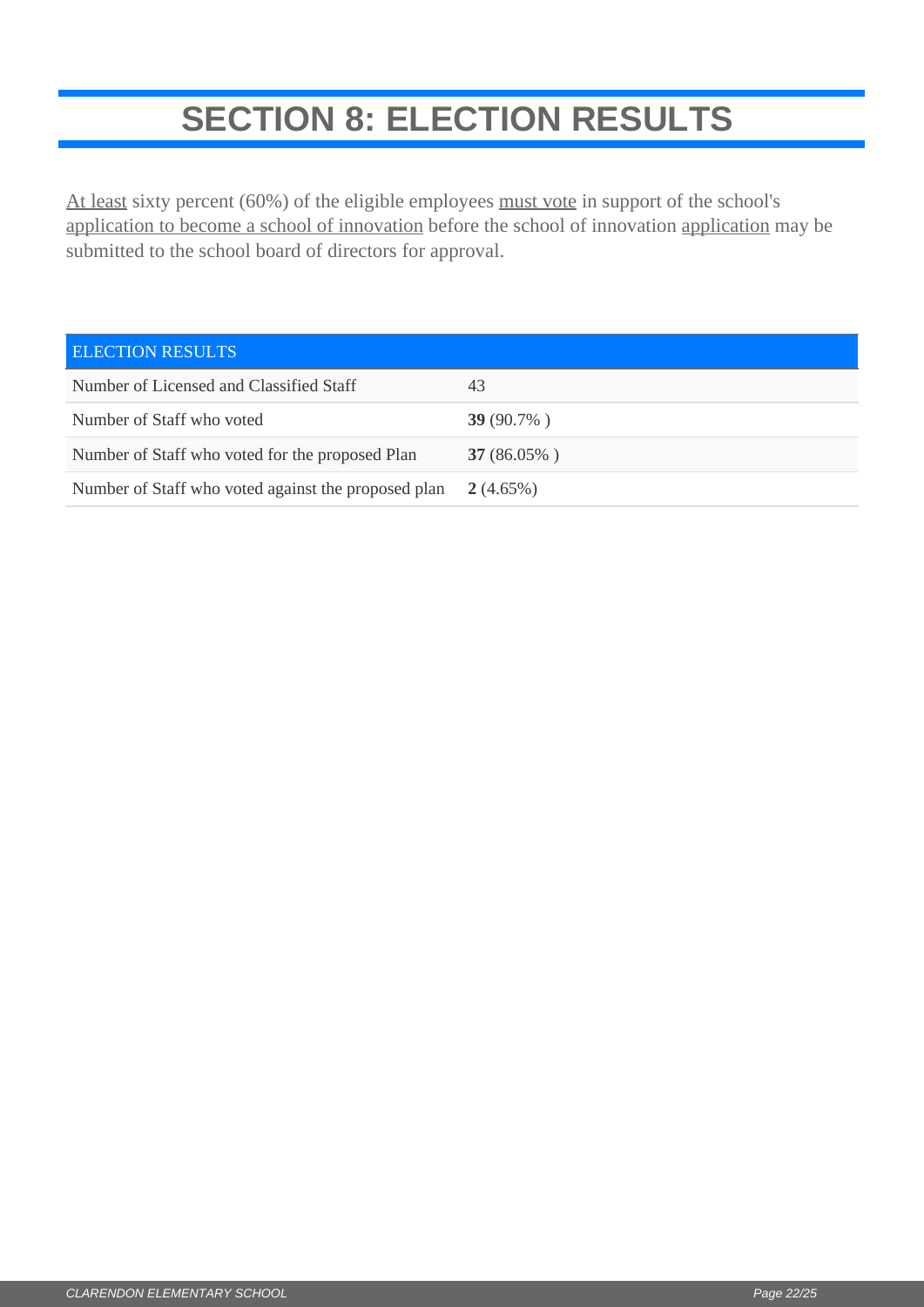# **SECTION 8: ELECTION RESULTS**

<span id="page-21-0"></span>At least sixty percent (60%) of the eligible employees must vote in support of the school's application to become a school of innovation before the school of innovation application may be submitted to the school board of directors for approval.

| <b>ELECTION RESULTS</b>                             |               |
|-----------------------------------------------------|---------------|
| Number of Licensed and Classified Staff             | 43            |
| Number of Staff who voted                           | 39 $(90.7\%)$ |
| Number of Staff who voted for the proposed Plan     | $37(86.05\%)$ |
| Number of Staff who voted against the proposed plan | $2(4.65\%)$   |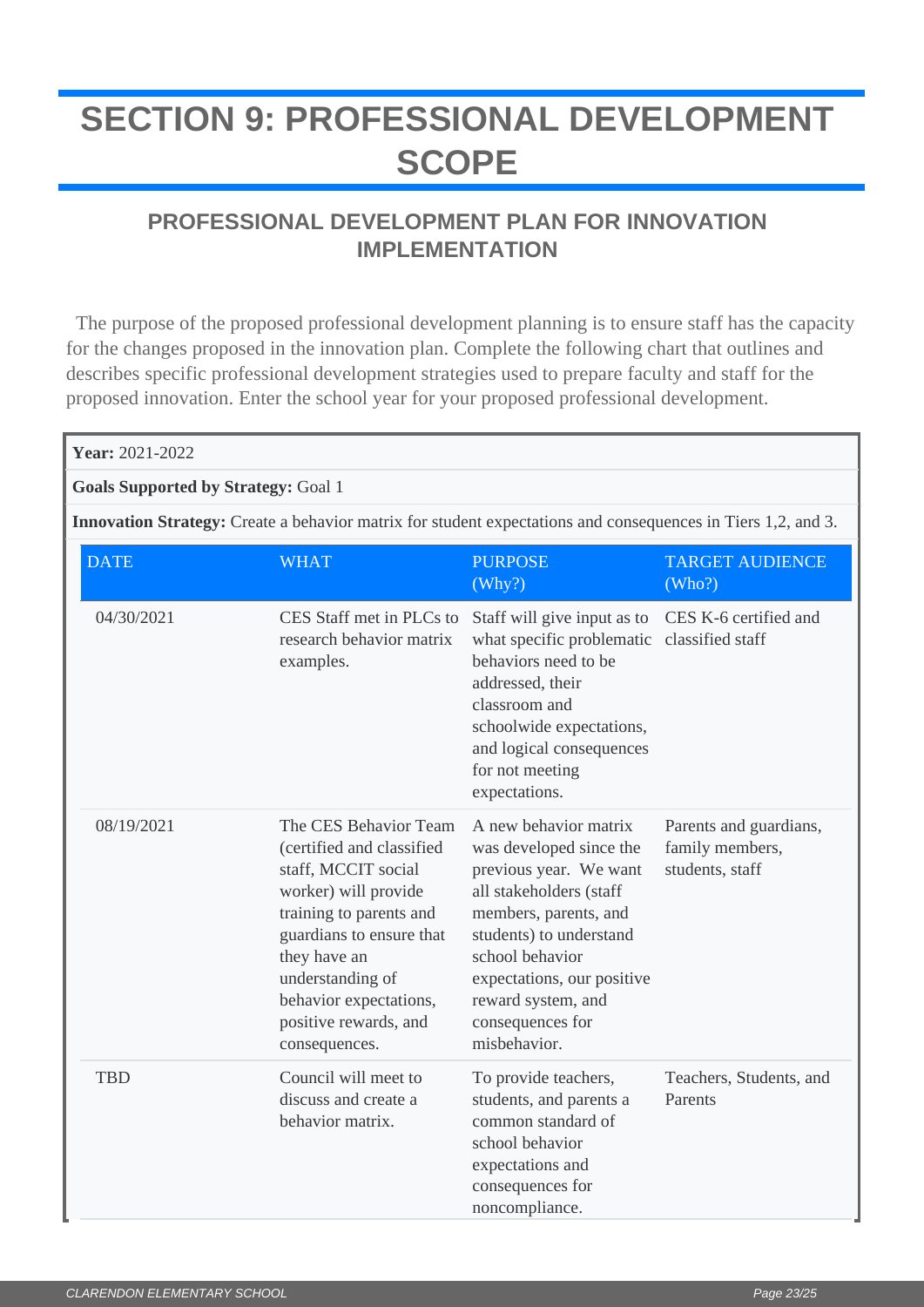# <span id="page-22-0"></span>**SECTION 9: PROFESSIONAL DEVELOPMENT SCOPE**

## **PROFESSIONAL DEVELOPMENT PLAN FOR INNOVATION IMPLEMENTATION**

 The purpose of the proposed professional development planning is to ensure staff has the capacity for the changes proposed in the innovation plan. Complete the following chart that outlines and describes specific professional development strategies used to prepare faculty and staff for the proposed innovation. Enter the school year for your proposed professional development.

| Year: 2021-2022                                                                                                     |                                                                                                                                                                                                                                                                  |                                                                                                                                                                                                                                                                      |                                                              |  |
|---------------------------------------------------------------------------------------------------------------------|------------------------------------------------------------------------------------------------------------------------------------------------------------------------------------------------------------------------------------------------------------------|----------------------------------------------------------------------------------------------------------------------------------------------------------------------------------------------------------------------------------------------------------------------|--------------------------------------------------------------|--|
| <b>Goals Supported by Strategy: Goal 1</b>                                                                          |                                                                                                                                                                                                                                                                  |                                                                                                                                                                                                                                                                      |                                                              |  |
| <b>Innovation Strategy:</b> Create a behavior matrix for student expectations and consequences in Tiers 1,2, and 3. |                                                                                                                                                                                                                                                                  |                                                                                                                                                                                                                                                                      |                                                              |  |
| <b>DATE</b>                                                                                                         | <b>WHAT</b>                                                                                                                                                                                                                                                      | <b>PURPOSE</b><br>(Why?)                                                                                                                                                                                                                                             | <b>TARGET AUDIENCE</b><br>(Who?)                             |  |
| 04/30/2021                                                                                                          | CES Staff met in PLCs to<br>research behavior matrix<br>examples.                                                                                                                                                                                                | Staff will give input as to<br>what specific problematic classified staff<br>behaviors need to be<br>addressed, their<br>classroom and<br>schoolwide expectations,<br>and logical consequences<br>for not meeting<br>expectations.                                   | CES K-6 certified and                                        |  |
| 08/19/2021                                                                                                          | The CES Behavior Team<br>(certified and classified<br>staff, MCCIT social<br>worker) will provide<br>training to parents and<br>guardians to ensure that<br>they have an<br>understanding of<br>behavior expectations,<br>positive rewards, and<br>consequences. | A new behavior matrix<br>was developed since the<br>previous year. We want<br>all stakeholders (staff<br>members, parents, and<br>students) to understand<br>school behavior<br>expectations, our positive<br>reward system, and<br>consequences for<br>misbehavior. | Parents and guardians,<br>family members,<br>students, staff |  |
| <b>TBD</b>                                                                                                          | Council will meet to<br>discuss and create a<br>behavior matrix.                                                                                                                                                                                                 | To provide teachers,<br>students, and parents a<br>common standard of<br>school behavior<br>expectations and<br>consequences for<br>noncompliance.                                                                                                                   | Teachers, Students, and<br>Parents                           |  |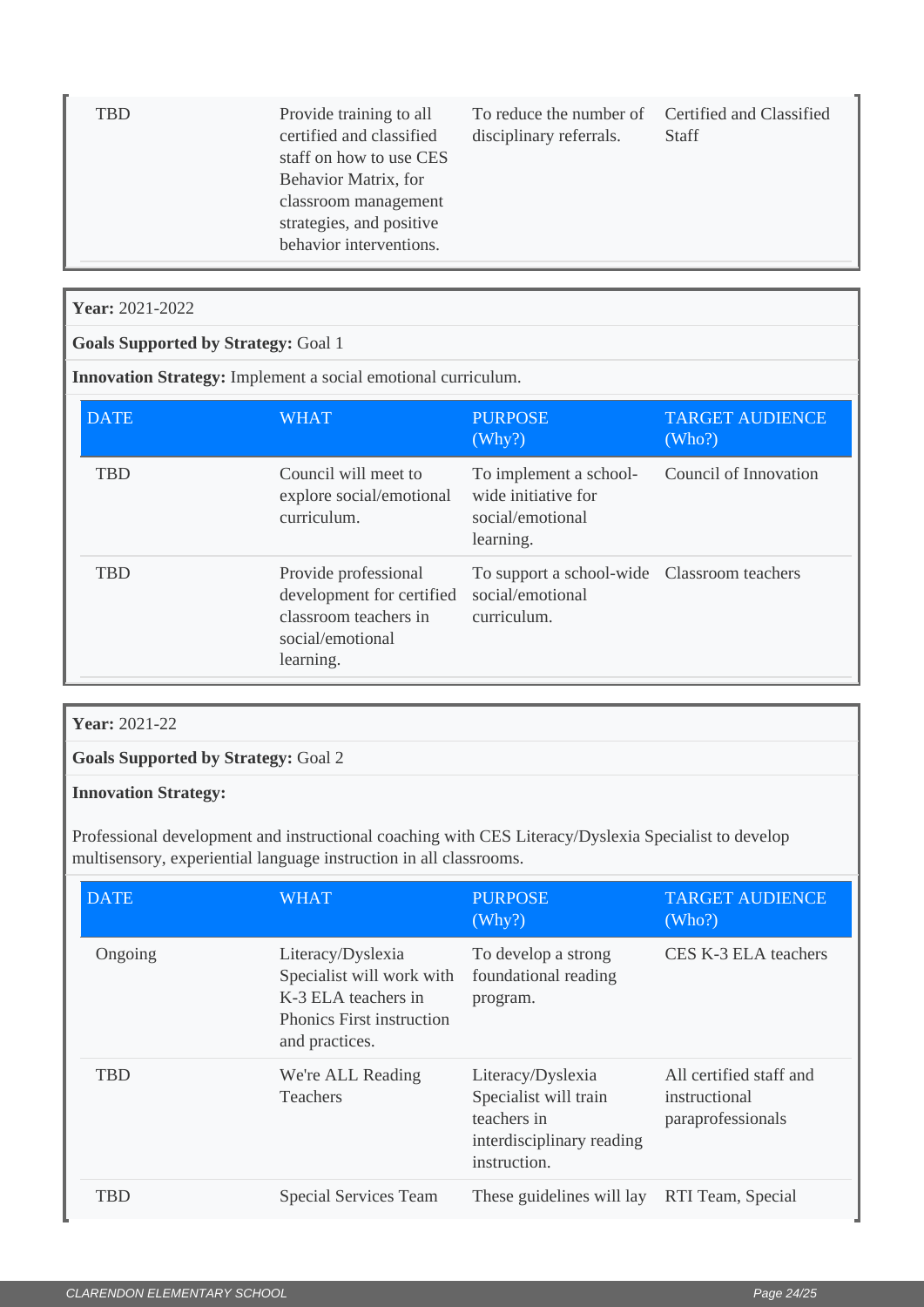| TBD | Provide training to all<br>certified and classified<br>staff on how to use CES<br>Behavior Matrix, for<br>classroom management<br>strategies, and positive<br>behavior interventions. | To reduce the number of Certified and Classified<br>disciplinary referrals. | <b>Staff</b> |
|-----|---------------------------------------------------------------------------------------------------------------------------------------------------------------------------------------|-----------------------------------------------------------------------------|--------------|
|     |                                                                                                                                                                                       |                                                                             |              |

### **Year:** 2021-2022

### **Goals Supported by Strategy:** Goal 1

**Innovation Strategy:** Implement a social emotional curriculum.

| <b>DATE</b> | <b>WHAT</b>                                                                                                 | <b>PURPOSE</b><br>(Why?)                                                       | <b>TARGET AUDIENCE</b><br>(Who?) |
|-------------|-------------------------------------------------------------------------------------------------------------|--------------------------------------------------------------------------------|----------------------------------|
| <b>TBD</b>  | Council will meet to<br>explore social/emotional<br>curriculum.                                             | To implement a school-<br>wide initiative for<br>social/emotional<br>learning. | Council of Innovation            |
| TBD         | Provide professional<br>development for certified<br>classroom teachers in<br>social/emotional<br>learning. | To support a school-wide Classroom teachers<br>social/emotional<br>curriculum. |                                  |

### **Year:** 2021-22

**Goals Supported by Strategy:** Goal 2

#### **Innovation Strategy:**

Professional development and instructional coaching with CES Literacy/Dyslexia Specialist to develop multisensory, experiential language instruction in all classrooms.

| <b>DATE</b> | <b>WHAT</b>                                                                                                                 | <b>PURPOSE</b><br>(Why?)                                                                               | <b>TARGET AUDIENCE</b><br>(Who?)                              |
|-------------|-----------------------------------------------------------------------------------------------------------------------------|--------------------------------------------------------------------------------------------------------|---------------------------------------------------------------|
| Ongoing     | Literacy/Dyslexia<br>Specialist will work with<br>K-3 ELA teachers in<br><b>Phonics First instruction</b><br>and practices. | To develop a strong<br>foundational reading<br>program.                                                | CES K-3 ELA teachers                                          |
| <b>TBD</b>  | We're ALL Reading<br><b>Teachers</b>                                                                                        | Literacy/Dyslexia<br>Specialist will train<br>teachers in<br>interdisciplinary reading<br>instruction. | All certified staff and<br>instructional<br>paraprofessionals |
| TBD         | <b>Special Services Team</b>                                                                                                | These guidelines will lay                                                                              | RTI Team, Special                                             |